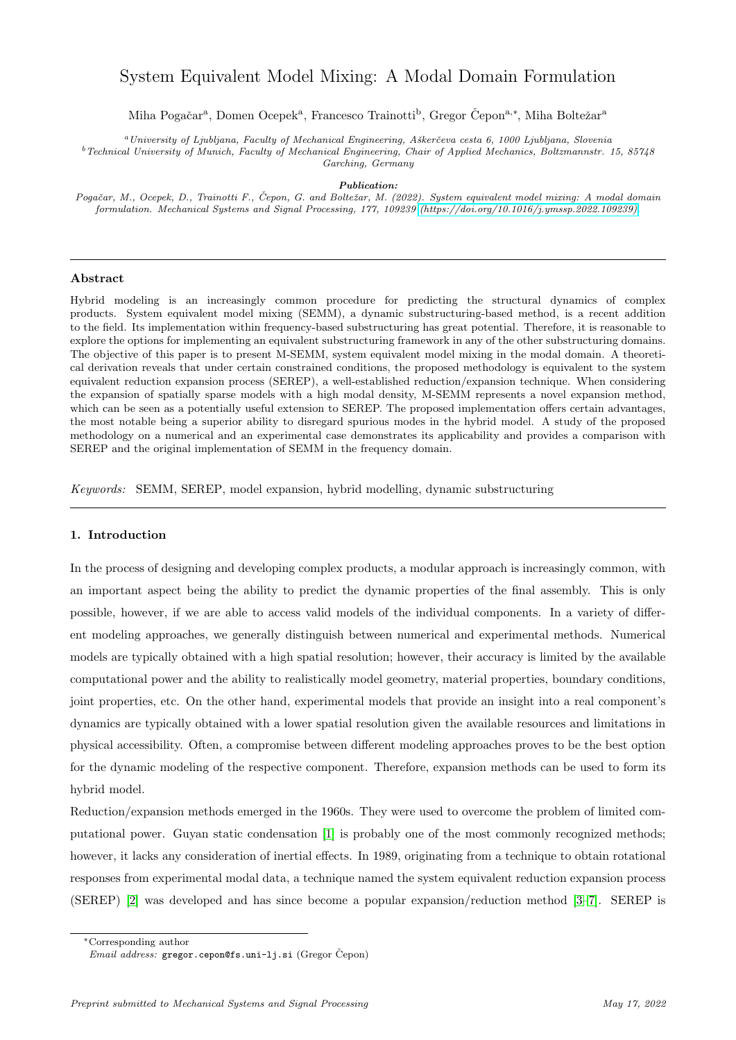# System Equivalent Model Mixing: A Modal Domain Formulation

Miha Pogačar<sup>a</sup>, Domen Ocepek<sup>a</sup>, Francesco Trainotti<sup>b</sup>, Gregor Čepon<sup>a,\*</sup>, Miha Boltežar<sup>a</sup>

 $\emph{a}$ University of Ljubljana, Faculty of Mechanical Engineering, Aškerčeva cesta 6, 1000 Ljubljana, Slovenia

 $^b$  Technical University of Munich, Faculty of Mechanical Engineering, Chair of Applied Mechanics, Boltzmannstr. 15, 85748 Garching, Germany

Publication:

Pogačar, M., Ocepek, D., Trainotti F., Čepon, G. and Boltežar, M. (2022). System equivalent model mixing: A modal domain formulation. Mechanical Systems and Signal Processing, 177, 109239 [\(https://doi.org/10.1016/j.ymssp.2022.109239\).](https://doi.org/10.1016/j.ymssp.2022.109239)

# Abstract

Hybrid modeling is an increasingly common procedure for predicting the structural dynamics of complex products. System equivalent model mixing (SEMM), a dynamic substructuring-based method, is a recent addition to the field. Its implementation within frequency-based substructuring has great potential. Therefore, it is reasonable to explore the options for implementing an equivalent substructuring framework in any of the other substructuring domains. The objective of this paper is to present M-SEMM, system equivalent model mixing in the modal domain. A theoretical derivation reveals that under certain constrained conditions, the proposed methodology is equivalent to the system equivalent reduction expansion process (SEREP), a well-established reduction/expansion technique. When considering the expansion of spatially sparse models with a high modal density, M-SEMM represents a novel expansion method, which can be seen as a potentially useful extension to SEREP. The proposed implementation offers certain advantages, the most notable being a superior ability to disregard spurious modes in the hybrid model. A study of the proposed methodology on a numerical and an experimental case demonstrates its applicability and provides a comparison with SEREP and the original implementation of SEMM in the frequency domain.

Keywords: SEMM, SEREP, model expansion, hybrid modelling, dynamic substructuring

# 1. Introduction

In the process of designing and developing complex products, a modular approach is increasingly common, with an important aspect being the ability to predict the dynamic properties of the final assembly. This is only possible, however, if we are able to access valid models of the individual components. In a variety of different modeling approaches, we generally distinguish between numerical and experimental methods. Numerical models are typically obtained with a high spatial resolution; however, their accuracy is limited by the available computational power and the ability to realistically model geometry, material properties, boundary conditions, joint properties, etc. On the other hand, experimental models that provide an insight into a real component's dynamics are typically obtained with a lower spatial resolution given the available resources and limitations in physical accessibility. Often, a compromise between different modeling approaches proves to be the best option for the dynamic modeling of the respective component. Therefore, expansion methods can be used to form its hybrid model.

Reduction/expansion methods emerged in the 1960s. They were used to overcome the problem of limited computational power. Guyan static condensation [\[1\]](#page-23-0) is probably one of the most commonly recognized methods; however, it lacks any consideration of inertial effects. In 1989, originating from a technique to obtain rotational responses from experimental modal data, a technique named the system equivalent reduction expansion process (SEREP) [\[2\]](#page-23-1) was developed and has since become a popular expansion/reduction method [\[3–](#page-23-2)[7\]](#page-23-3). SEREP is

<sup>∗</sup>Corresponding author

Email address: gregor.cepon@fs.uni-lj.si (Gregor Čepon)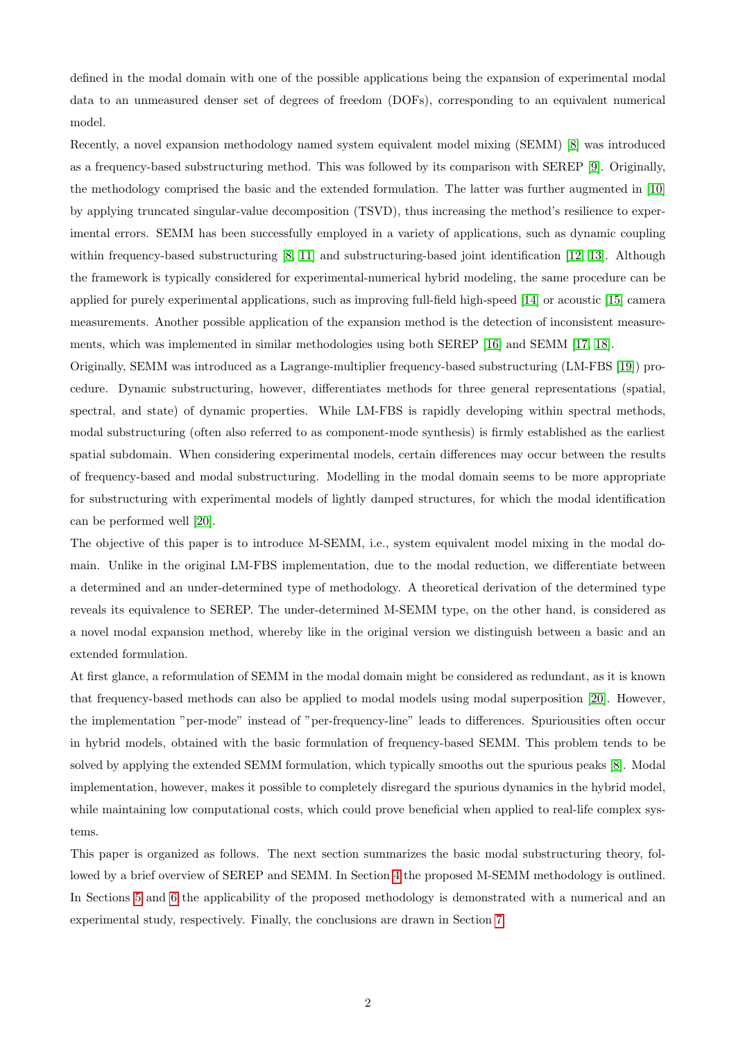defined in the modal domain with one of the possible applications being the expansion of experimental modal data to an unmeasured denser set of degrees of freedom (DOFs), corresponding to an equivalent numerical model.

Recently, a novel expansion methodology named system equivalent model mixing (SEMM) [\[8\]](#page-23-4) was introduced as a frequency-based substructuring method. This was followed by its comparison with SEREP [\[9\]](#page-23-5). Originally, the methodology comprised the basic and the extended formulation. The latter was further augmented in [\[10\]](#page-23-6) by applying truncated singular-value decomposition (TSVD), thus increasing the method's resilience to experimental errors. SEMM has been successfully employed in a variety of applications, such as dynamic coupling within frequency-based substructuring [\[8,](#page-23-4) [11\]](#page-23-7) and substructuring-based joint identification [\[12,](#page-23-8) [13\]](#page-23-9). Although the framework is typically considered for experimental-numerical hybrid modeling, the same procedure can be applied for purely experimental applications, such as improving full-field high-speed [\[14\]](#page-23-10) or acoustic [\[15\]](#page-23-11) camera measurements. Another possible application of the expansion method is the detection of inconsistent measurements, which was implemented in similar methodologies using both SEREP [\[16\]](#page-24-0) and SEMM [\[17,](#page-24-1) [18\]](#page-24-2).

Originally, SEMM was introduced as a Lagrange-multiplier frequency-based substructuring (LM-FBS [\[19\]](#page-24-3)) procedure. Dynamic substructuring, however, differentiates methods for three general representations (spatial, spectral, and state) of dynamic properties. While LM-FBS is rapidly developing within spectral methods, modal substructuring (often also referred to as component-mode synthesis) is firmly established as the earliest spatial subdomain. When considering experimental models, certain differences may occur between the results of frequency-based and modal substructuring. Modelling in the modal domain seems to be more appropriate for substructuring with experimental models of lightly damped structures, for which the modal identification can be performed well [\[20\]](#page-24-4).

The objective of this paper is to introduce M-SEMM, i.e., system equivalent model mixing in the modal domain. Unlike in the original LM-FBS implementation, due to the modal reduction, we differentiate between a determined and an under-determined type of methodology. A theoretical derivation of the determined type reveals its equivalence to SEREP. The under-determined M-SEMM type, on the other hand, is considered as a novel modal expansion method, whereby like in the original version we distinguish between a basic and an extended formulation.

At first glance, a reformulation of SEMM in the modal domain might be considered as redundant, as it is known that frequency-based methods can also be applied to modal models using modal superposition [\[20\]](#page-24-4). However, the implementation "per-mode" instead of "per-frequency-line" leads to differences. Spuriousities often occur in hybrid models, obtained with the basic formulation of frequency-based SEMM. This problem tends to be solved by applying the extended SEMM formulation, which typically smooths out the spurious peaks [\[8\]](#page-23-4). Modal implementation, however, makes it possible to completely disregard the spurious dynamics in the hybrid model, while maintaining low computational costs, which could prove beneficial when applied to real-life complex systems.

This paper is organized as follows. The next section summarizes the basic modal substructuring theory, followed by a brief overview of SEREP and SEMM. In Section [4](#page-5-0) the proposed M-SEMM methodology is outlined. In Sections [5](#page-13-0) and [6](#page-16-0) the applicability of the proposed methodology is demonstrated with a numerical and an experimental study, respectively. Finally, the conclusions are drawn in Section [7.](#page-19-0)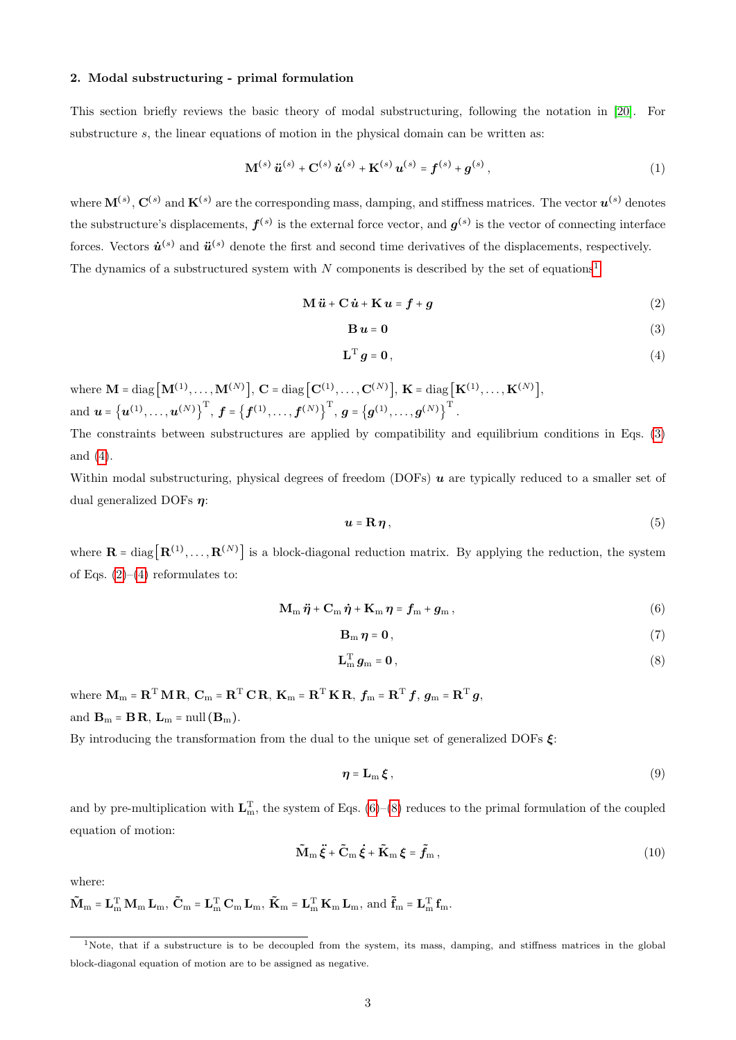### 2. Modal substructuring - primal formulation

This section briefly reviews the basic theory of modal substructuring, following the notation in [\[20\]](#page-24-4). For substructure s, the linear equations of motion in the physical domain can be written as:

$$
\mathbf{M}^{(s)}\ddot{\mathbf{u}}^{(s)} + \mathbf{C}^{(s)}\dot{\mathbf{u}}^{(s)} + \mathbf{K}^{(s)}\mathbf{u}^{(s)} = \mathbf{f}^{(s)} + \mathbf{g}^{(s)},
$$
\n(1)

where  $\mathbf{M}^{(s)}$ ,  $\mathbf{C}^{(s)}$  and  $\mathbf{K}^{(s)}$  are the corresponding mass, damping, and stiffness matrices. The vector  $\mathbf{u}^{(s)}$  denotes the substructure's displacements,  $f^{(s)}$  is the external force vector, and  $g^{(s)}$  is the vector of connecting interface forces. Vectors  $\dot{u}^{(s)}$  and  $\ddot{u}^{(s)}$  denote the first and second time derivatives of the displacements, respectively. The dynamics of a substructured system with  $N$  components is described by the set of equations<sup>[1](#page-2-0)</sup>:

<span id="page-2-1"></span>
$$
\mathbf{M}\ddot{\mathbf{u}} + \mathbf{C}\dot{\mathbf{u}} + \mathbf{K}\mathbf{u} = \mathbf{f} + \mathbf{g}
$$
 (2)

$$
\mathbf{B}\,\mathbf{u}=\mathbf{0}\tag{3}
$$

$$
\mathbf{L}^{\mathrm{T}}\,\mathbf{g}=\mathbf{0}\,,\tag{4}
$$

 $\text{where} \ \mathbf{M}=\text{diag}\big[\mathbf{M}^{(1)},\ldots,\mathbf{M}^{(N)}\big],\ \mathbf{C}=\text{diag}\big[\mathbf{C}^{(1)},\ldots,\mathbf{C}^{(N)}\big],\ \mathbf{K}=\text{diag}\big[\mathbf{K}^{(1)},\ldots,\mathbf{K}^{(N)}\big],$  $\text{and} \ \boldsymbol{u} = \left\{\boldsymbol{u}^{(1)}, \ldots, \boldsymbol{u}^{(N)} \right\}^{\mathrm{T}}, \ \boldsymbol{f} = \left\{\boldsymbol{f}^{(1)}, \ldots, \boldsymbol{f}^{(N)} \right\}^{\mathrm{T}}, \ \boldsymbol{g} = \left\{\boldsymbol{g}^{(1)}, \ldots, \boldsymbol{g}^{(N)} \right\}^{\mathrm{T}}.$ 

The constraints between substructures are applied by compatibility and equilibrium conditions in Eqs. [\(3\)](#page-2-1) and [\(4\)](#page-2-1).

Within modal substructuring, physical degrees of freedom (DOFs)  $\boldsymbol{u}$  are typically reduced to a smaller set of dual generalized DOFs  $\eta$ :

<span id="page-2-3"></span>
$$
u = \mathbf{R}\,\boldsymbol{\eta}\,,\tag{5}
$$

where  $\mathbf{R} = \text{diag}\left[\mathbf{R}^{(1)},\ldots,\mathbf{R}^{(N)}\right]$  is a block-diagonal reduction matrix. By applying the reduction, the system of Eqs.  $(2)$ – $(4)$  reformulates to:

<span id="page-2-2"></span>
$$
\mathbf{M}_{\mathrm{m}}\ddot{\boldsymbol{\eta}} + \mathbf{C}_{\mathrm{m}}\dot{\boldsymbol{\eta}} + \mathbf{K}_{\mathrm{m}}\boldsymbol{\eta} = \boldsymbol{f}_{\mathrm{m}} + \boldsymbol{g}_{\mathrm{m}}\,,\tag{6}
$$

$$
\mathbf{B}_{\mathbf{m}}\,\boldsymbol{\eta}=\mathbf{0}\,,\tag{7}
$$

$$
\mathbf{L}_{\mathbf{m}}^{\mathrm{T}}\mathbf{g}_{\mathbf{m}}=\mathbf{0}\,,\tag{8}
$$

where  $\mathbf{M}_{\text{m}} = \mathbf{R}^{\text{T}} \mathbf{M} \mathbf{R}$ ,  $\mathbf{C}_{\text{m}} = \mathbf{R}^{\text{T}} \mathbf{C} \mathbf{R}$ ,  $\mathbf{K}_{\text{m}} = \mathbf{R}^{\text{T}} \mathbf{K} \mathbf{R}$ ,  $f_{\text{m}} = \mathbf{R}^{\text{T}} f$ ,  $g_{\text{m}} = \mathbf{R}^{\text{T}} g$ , and  $\mathbf{B}_m = \mathbf{B} \mathbf{R}$ ,  $\mathbf{L}_m = \text{null} (\mathbf{B}_m)$ .

By introducing the transformation from the dual to the unique set of generalized DOFs  $\xi$ :

<span id="page-2-4"></span>
$$
\eta = \mathbf{L}_{\mathrm{m}} \, \boldsymbol{\xi} \,, \tag{9}
$$

<span id="page-2-5"></span>and by pre-multiplication with  $L_m^T$ , the system of Eqs. [\(6\)](#page-2-2)–[\(8\)](#page-2-2) reduces to the primal formulation of the coupled equation of motion:

$$
\widetilde{\mathbf{M}}_{\mathrm{m}}\ddot{\boldsymbol{\xi}} + \widetilde{\mathbf{C}}_{\mathrm{m}}\dot{\boldsymbol{\xi}} + \widetilde{\mathbf{K}}_{\mathrm{m}}\boldsymbol{\xi} = \tilde{\boldsymbol{f}}_{\mathrm{m}}\,,\tag{10}
$$

where:

$$
\mathbf{\tilde{M}}_m = \mathbf{L}_m^T \, \mathbf{M}_m \, \mathbf{L}_m, \; \mathbf{\tilde{C}}_m = \mathbf{L}_m^T \, \mathbf{C}_m \, \mathbf{L}_m, \; \mathbf{\tilde{K}}_m = \mathbf{L}_m^T \, \mathbf{K}_m \, \mathbf{L}_m, \; \text{and} \; \mathbf{\tilde{f}}_m = \mathbf{L}_m^T \, \mathbf{f}_m.
$$

<span id="page-2-0"></span><sup>&</sup>lt;sup>1</sup>Note, that if a substructure is to be decoupled from the system, its mass, damping, and stiffness matrices in the global block-diagonal equation of motion are to be assigned as negative.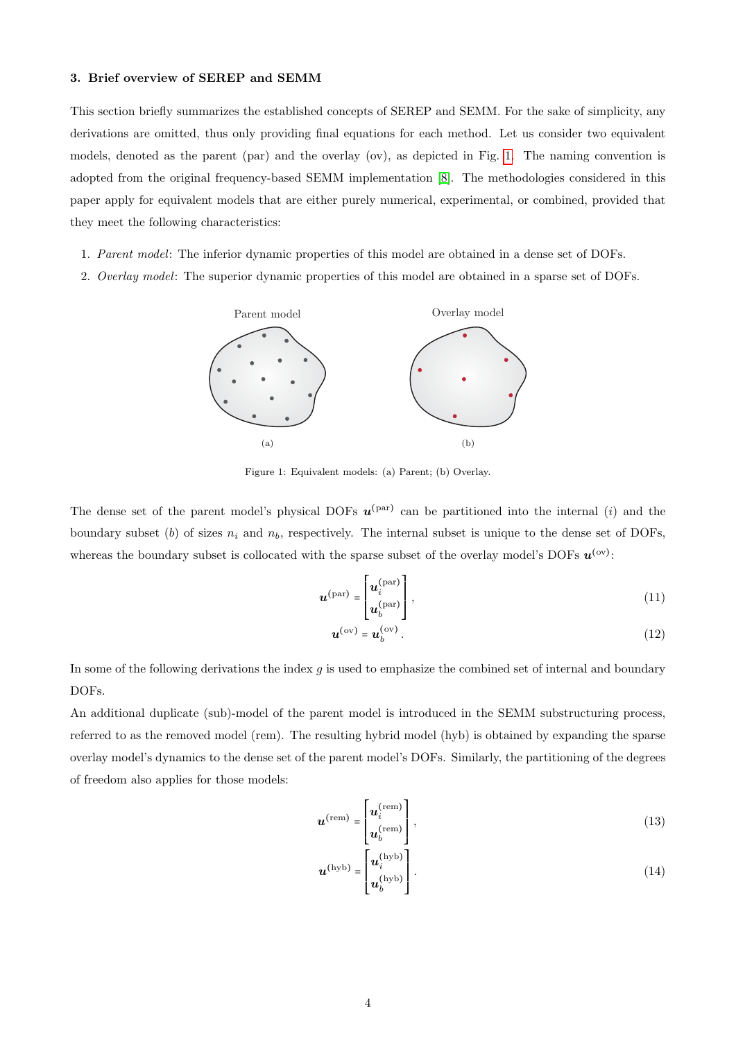# 3. Brief overview of SEREP and SEMM

This section briefly summarizes the established concepts of SEREP and SEMM. For the sake of simplicity, any derivations are omitted, thus only providing final equations for each method. Let us consider two equivalent models, denoted as the parent (par) and the overlay (ov), as depicted in Fig. [1.](#page-3-0) The naming convention is adopted from the original frequency-based SEMM implementation [\[8\]](#page-23-4). The methodologies considered in this paper apply for equivalent models that are either purely numerical, experimental, or combined, provided that they meet the following characteristics:

- 1. Parent model: The inferior dynamic properties of this model are obtained in a dense set of DOFs.
- <span id="page-3-0"></span>2. Overlay model: The superior dynamic properties of this model are obtained in a sparse set of DOFs.



Figure 1: Equivalent models: (a) Parent; (b) Overlay.

The dense set of the parent model's physical DOFs  $u^{(par)}$  can be partitioned into the internal (i) and the boundary subset (b) of sizes  $n_i$  and  $n_b$ , respectively. The internal subset is unique to the dense set of DOFs, whereas the boundary subset is collocated with the sparse subset of the overlay model's DOFs  $u^{(ov)}$ :

$$
\boldsymbol{u}^{(\text{par})} = \begin{bmatrix} \boldsymbol{u}_i^{(\text{par})} \\ \boldsymbol{u}_b^{(\text{par})} \end{bmatrix},\tag{11}
$$

$$
\boldsymbol{u}^{(\text{ov})} = \boldsymbol{u}_b^{(\text{ov})}. \tag{12}
$$

In some of the following derivations the index  $g$  is used to emphasize the combined set of internal and boundary DOFs.

An additional duplicate (sub)-model of the parent model is introduced in the SEMM substructuring process, referred to as the removed model (rem). The resulting hybrid model (hyb) is obtained by expanding the sparse overlay model's dynamics to the dense set of the parent model's DOFs. Similarly, the partitioning of the degrees of freedom also applies for those models:

$$
\boldsymbol{u}^{\text{(rem)}} = \begin{bmatrix} \boldsymbol{u}_i^{\text{(rem)}} \\ \boldsymbol{u}_b^{\text{(rem)}} \end{bmatrix},\tag{13}
$$

$$
\boldsymbol{u}^{\text{(hyb)}} = \begin{bmatrix} \boldsymbol{u}_i^{\text{(hyb)}} \\ \boldsymbol{u}_b^{\text{(hyb)}} \end{bmatrix} . \tag{14}
$$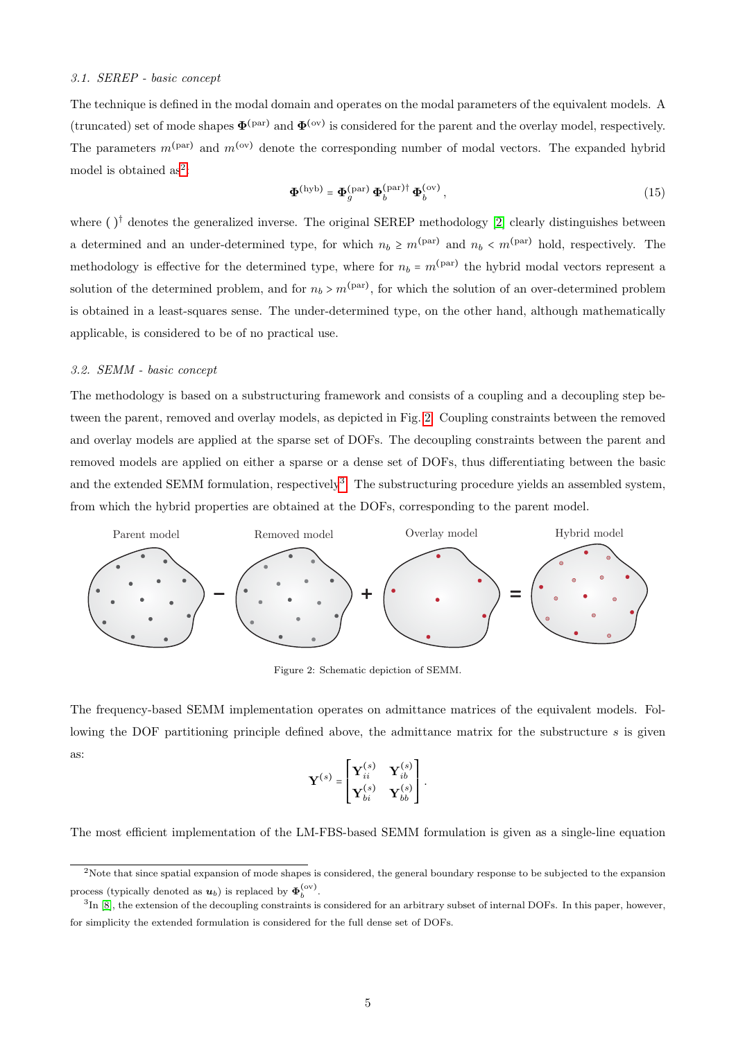### 3.1. SEREP - basic concept

The technique is defined in the modal domain and operates on the modal parameters of the equivalent models. A (truncated) set of mode shapes  $\Phi^{(par)}$  and  $\Phi^{(ov)}$  is considered for the parent and the overlay model, respectively. The parameters  $m^{(par)}$  and  $m^{(ov)}$  denote the corresponding number of modal vectors. The expanded hybrid model is obtained as<sup>[2](#page-4-0)</sup>:

<span id="page-4-3"></span>
$$
\mathbf{\Phi}^{\text{(hyb)}} = \mathbf{\Phi}_g^{\text{(par)}} \, \mathbf{\Phi}_b^{\text{(par)}\dagger} \, \mathbf{\Phi}_b^{\text{(ov)}},\tag{15}
$$

where  $()^{\dagger}$  denotes the generalized inverse. The original SEREP methodology [\[2\]](#page-23-1) clearly distinguishes between a determined and an under-determined type, for which  $n_b \ge m^{\text{(par)}}$  and  $n_b < m^{\text{(par)}}$  hold, respectively. The methodology is effective for the determined type, where for  $n_b = m<sup>(par)</sup>$  the hybrid modal vectors represent a solution of the determined problem, and for  $n_b > m<sup>(par)</sup>$ , for which the solution of an over-determined problem is obtained in a least-squares sense. The under-determined type, on the other hand, although mathematically applicable, is considered to be of no practical use.

#### <span id="page-4-4"></span>3.2. SEMM - basic concept

The methodology is based on a substructuring framework and consists of a coupling and a decoupling step between the parent, removed and overlay models, as depicted in Fig. [2.](#page-4-1) Coupling constraints between the removed and overlay models are applied at the sparse set of DOFs. The decoupling constraints between the parent and removed models are applied on either a sparse or a dense set of DOFs, thus differentiating between the basic and the extended SEMM formulation, respectively<sup>[3](#page-4-2)</sup>. The substructuring procedure yields an assembled system, from which the hybrid properties are obtained at the DOFs, corresponding to the parent model.

<span id="page-4-1"></span>

Figure 2: Schematic depiction of SEMM.

The frequency-based SEMM implementation operates on admittance matrices of the equivalent models. Following the DOF partitioning principle defined above, the admittance matrix for the substructure s is given as:

$$
\mathbf{Y}^{(s)} = \begin{bmatrix} \mathbf{Y}_{ii}^{(s)} & \mathbf{Y}_{ib}^{(s)} \\ \mathbf{Y}_{bi}^{(s)} & \mathbf{Y}_{bb}^{(s)} \end{bmatrix}
$$

.

The most efficient implementation of the LM-FBS-based SEMM formulation is given as a single-line equation

<span id="page-4-0"></span><sup>2</sup>Note that since spatial expansion of mode shapes is considered, the general boundary response to be subjected to the expansion process (typically denoted as  $u_b$ ) is replaced by  $\Phi_b^{\text{(ov)}}$ .

<span id="page-4-2"></span> ${}^{3}\text{In}$  [\[8\]](#page-23-4), the extension of the decoupling constraints is considered for an arbitrary subset of internal DOFs. In this paper, however, for simplicity the extended formulation is considered for the full dense set of DOFs.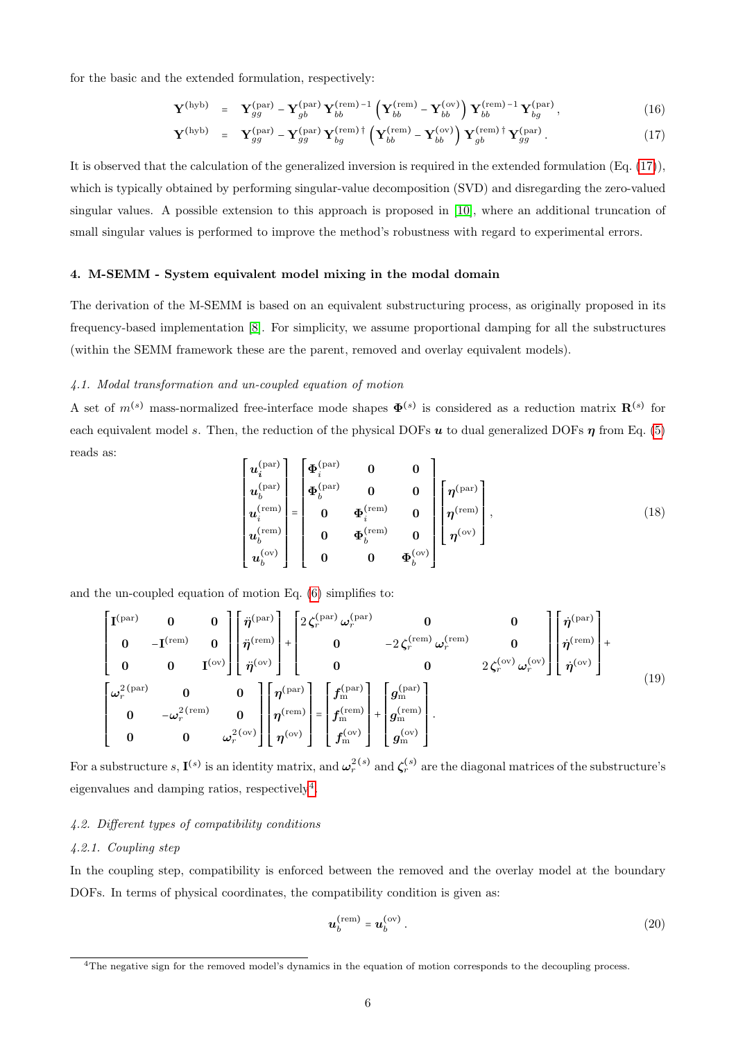for the basic and the extended formulation, respectively:

<span id="page-5-1"></span>
$$
\mathbf{Y}^{\text{(hyb)}} = \mathbf{Y}_{gg}^{\text{(par)}} - \mathbf{Y}_{gb}^{\text{(par)}} \mathbf{Y}_{bb}^{\text{(rem)}}^{-1} \left( \mathbf{Y}_{bb}^{\text{(rem)}} - \mathbf{Y}_{bb}^{\text{(ov)}} \right) \mathbf{Y}_{bb}^{\text{(rem)}}^{-1} \mathbf{Y}_{bg}^{\text{(par)}}, \tag{16}
$$

$$
\mathbf{Y}^{\text{(hyb)}} = \mathbf{Y}_{gg}^{\text{(par)}} - \mathbf{Y}_{gg}^{\text{(par)}} \mathbf{Y}_{bg}^{\text{(rem)}}^{\text{(rem)}} + \left( \mathbf{Y}_{bb}^{\text{(rem)}} - \mathbf{Y}_{bb}^{\text{(ov)}} \right) \mathbf{Y}_{gb}^{\text{(rem)}} \mathbf{Y}_{gg}^{\text{(par)}}. \tag{17}
$$

It is observed that the calculation of the generalized inversion is required in the extended formulation (Eq. [\(17\)](#page-5-1)), which is typically obtained by performing singular-value decomposition (SVD) and disregarding the zero-valued singular values. A possible extension to this approach is proposed in [\[10\]](#page-23-6), where an additional truncation of small singular values is performed to improve the method's robustness with regard to experimental errors.

# <span id="page-5-0"></span>4. M-SEMM - System equivalent model mixing in the modal domain

The derivation of the M-SEMM is based on an equivalent substructuring process, as originally proposed in its frequency-based implementation [\[8\]](#page-23-4). For simplicity, we assume proportional damping for all the substructures (within the SEMM framework these are the parent, removed and overlay equivalent models).

# 4.1. Modal transformation and un-coupled equation of motion

<span id="page-5-3"></span>A set of  $m^{(s)}$  mass-normalized free-interface mode shapes  $\mathbf{\Phi}^{(s)}$  is considered as a reduction matrix  $\mathbf{R}^{(s)}$  for each equivalent model s. Then, the reduction of the physical DOFs u to dual generalized DOFs  $\eta$  from Eq. [\(5\)](#page-2-3) reads as: ⎡

<span id="page-5-4"></span>
$$
\begin{bmatrix}\n\boldsymbol{u}_{i}^{(\text{par})} \\
\boldsymbol{u}_{b}^{(\text{par})} \\
\boldsymbol{u}_{i}^{(\text{rem})} \\
\boldsymbol{u}_{b}^{(\text{rem})} \\
\boldsymbol{u}_{b}^{(\text{rem})}\n\end{bmatrix} = \begin{bmatrix}\n\boldsymbol{\Phi}_{i}^{(\text{par})} & \mathbf{0} & \mathbf{0} \\
\boldsymbol{\Phi}_{b}^{(\text{par})} & \mathbf{0} & \mathbf{0} \\
\mathbf{0} & \boldsymbol{\Phi}_{i}^{(\text{rem})} & \mathbf{0} \\
\mathbf{0} & \boldsymbol{\Phi}_{b}^{(\text{rem})} & \mathbf{0} \\
\mathbf{0} & \boldsymbol{\Phi}_{b}^{(\text{rem})} & \mathbf{0} \\
\mathbf{0} & \mathbf{0} & \boldsymbol{\Phi}_{b}^{(\text{ov})}\n\end{bmatrix},\n\tag{18}
$$

and the un-coupled equation of motion Eq. [\(6\)](#page-2-2) simplifies to:

$$
\begin{bmatrix}\nI^{(\text{par})} & 0 & 0 \\
0 & -I^{(\text{rem})} & 0 \\
0 & 0 & I^{(\text{ov})}\n\end{bmatrix}\n\begin{bmatrix}\n\ddot{\eta}^{(\text{par})} \\
\ddot{\eta}^{(\text{rem})} \\
\ddot{\eta}^{(\text{com})}\n\end{bmatrix} +\n\begin{bmatrix}\n2\zeta_r^{(\text{par})}\omega_r^{(\text{par})} & 0 & 0 \\
0 & -2\zeta_r^{(\text{rem})}\omega_r^{(\text{rem})} & 0 \\
0 & 0 & 2\zeta_r^{(\text{ov})}\omega_r^{(\text{ov})}\n\end{bmatrix}\n\begin{bmatrix}\n\dot{\eta}^{(\text{rem})} \\
\dot{\eta}^{(\text{rem})} \\
\dot{\eta}^{(\text{com})}\n\end{bmatrix} +\n\begin{bmatrix}\n2\zeta_r^{(\text{par})}\omega_r^{(\text{rem})} & 0 & 0 \\
0 & 0 & 2\zeta_r^{(\text{ov})}\omega_r^{(\text{ov})}\n\end{bmatrix}\n\begin{bmatrix}\n\dot{\eta}^{(\text{rem})} \\
\dot{\eta}^{(\text{rem})} \\
\dot{\eta}^{(\text{cov})}\n\end{bmatrix} +\n(19)
$$
\n
$$
\begin{bmatrix}\n\omega_r^{2(\text{pen})} & 0 & 0 \\
0 & -\omega_r^{2(\text{rem})} & 0 \\
0 & 0 & \omega_r^{2(\text{ov})}\n\end{bmatrix}\n\begin{bmatrix}\n\eta^{(\text{par})} \\
\eta^{(\text{rem})} \\
\eta^{(\text{com})}\n\end{bmatrix} =\n\begin{bmatrix}\nf_{\text{em}}^{(\text{rem})} \\
f_{\text{em}}^{(\text{rem})} \\
f_{\text{em}}^{(\text{ov})}\n\end{bmatrix} +\n\begin{bmatrix}\ng_{\text{em}}^{(\text{rem})} \\
g_{\text{em}}^{(\text{com})}\n\end{bmatrix}.
$$

For a substructure  $s, \mathbf{I}^{(s)}$  is an identity matrix, and  $\boldsymbol{\omega}_r^{2(s)}$  and  $\boldsymbol{\zeta}_r^{(s)}$  are the diagonal matrices of the substructure's eigenvalues and damping ratios, respectively<sup>[4](#page-5-2)</sup>.

## 4.2. Different types of compatibility conditions

# 4.2.1. Coupling step

In the coupling step, compatibility is enforced between the removed and the overlay model at the boundary DOFs. In terms of physical coordinates, the compatibility condition is given as:

$$
\boldsymbol{u}_b^{\text{(rem)}} = \boldsymbol{u}_b^{\text{(ov)}}.
$$

<span id="page-5-2"></span><sup>&</sup>lt;sup>4</sup>The negative sign for the removed model's dynamics in the equation of motion corresponds to the decoupling process.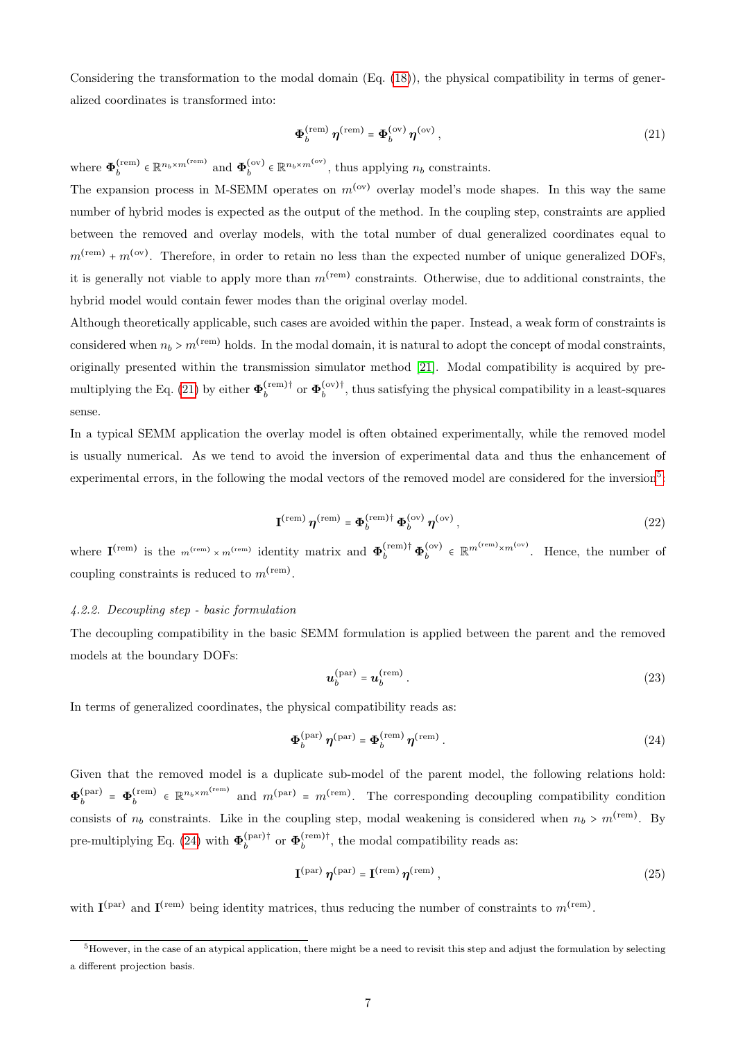Considering the transformation to the modal domain  $(Eq. (18))$  $(Eq. (18))$  $(Eq. (18))$ , the physical compatibility in terms of generalized coordinates is transformed into:

<span id="page-6-0"></span>
$$
\Phi_b^{\text{(rem)}} \eta^{\text{(rem)}} = \Phi_b^{\text{(ov)}} \eta^{\text{(ov)}}, \tag{21}
$$

where  $\Phi_h^{(\text{rem})}$  $\mathbf{e}^{\text{(rem)}} \in \mathbb{R}^{n_b \times m^{\text{(rem)}}}$  and  $\boldsymbol{\Phi}_b^{\text{(ov)}}$  $b_b^{(ov)} \in \mathbb{R}^{n_b \times m^{(ov)}},$  thus applying  $n_b$  constraints.

The expansion process in M-SEMM operates on  $m^{(ov)}$  overlay model's mode shapes. In this way the same number of hybrid modes is expected as the output of the method. In the coupling step, constraints are applied between the removed and overlay models, with the total number of dual generalized coordinates equal to  $m<sup>(rem)</sup> + m<sup>(ov)</sup>$ . Therefore, in order to retain no less than the expected number of unique generalized DOFs, it is generally not viable to apply more than  $m^{\text{(rem)}}$  constraints. Otherwise, due to additional constraints, the hybrid model would contain fewer modes than the original overlay model.

Although theoretically applicable, such cases are avoided within the paper. Instead, a weak form of constraints is considered when  $n_b > m^{\text{(rem)}}$  holds. In the modal domain, it is natural to adopt the concept of modal constraints, originally presented within the transmission simulator method [\[21\]](#page-24-5). Modal compatibility is acquired by pre-multiplying the Eq. [\(21\)](#page-6-0) by either  $\Phi_h^{\text{(rem)}}$  $\mathfrak{b}^{\text{(rem)}\dagger}_{b}$  or  $\Phi_b^{\text{(ov)}\dagger}$  $b<sub>b</sub>$ <sup>(ov)</sup>, thus satisfying the physical compatibility in a least-squares sense.

<span id="page-6-3"></span>In a typical SEMM application the overlay model is often obtained experimentally, while the removed model is usually numerical. As we tend to avoid the inversion of experimental data and thus the enhancement of experimental errors, in the following the modal vectors of the removed model are considered for the inversion<sup>[5](#page-6-1)</sup>:

$$
\mathbf{I}^{\text{(rem)}}\,\boldsymbol{\eta}^{\text{(rem)}} = \boldsymbol{\Phi}_b^{\text{(rem)}}{}^{\dagger}\,\boldsymbol{\Phi}_b^{\text{(ov)}}\,\boldsymbol{\eta}^{\text{(ov)}},\tag{22}
$$

where  $\mathbf{I}^{(\text{rem})}$  is the  $m^{(\text{rem})} \times m^{(\text{rem})}$  identity matrix and  $\mathbf{\Phi}_b^{(\text{rem}) \dagger} \mathbf{\Phi}_b^{(\text{ov})}$  $\delta_b^{(ov)} \in \mathbb{R}^{m^{(rem)} \times m^{(ov)}}$ . Hence, the number of coupling constraints is reduced to  $m^{\text{(rem)}}$ .

#### 4.2.2. Decoupling step - basic formulation

The decoupling compatibility in the basic SEMM formulation is applied between the parent and the removed models at the boundary DOFs:

<span id="page-6-2"></span>
$$
\boldsymbol{u}_b^{\text{(par)}} = \boldsymbol{u}_b^{\text{(rem)}}\,. \tag{23}
$$

In terms of generalized coordinates, the physical compatibility reads as:

$$
\Phi_b^{\text{(par)}} \eta^{\text{(par)}} = \Phi_b^{\text{(rem)}} \eta^{\text{(rem)}}.
$$
 (24)

Given that the removed model is a duplicate sub-model of the parent model, the following relations hold:  $\Phi_h^{(\mathrm{par})}$  $\Phi_b^{\text{(par)}} = \mathbf{\Phi}_b^{\text{(rem)}}$  $\{e^{(rem)}_b \in \mathbb{R}^{n_b \times m^{(rem)}}\}$  and  $m^{(par)} = m^{(rem)}$ . The corresponding decoupling compatibility condition consists of  $n_b$  constraints. Like in the coupling step, modal weakening is considered when  $n_b > m<sup>(rem)</sup>$ . By pre-multiplying Eq. [\(24\)](#page-6-2) with  $\Phi_h^{\text{(par)}\dagger}$  $\mathfrak{b}^{(\text{par})\dagger}_{b}$  or  $\Phi_b^{(\text{rem})\dagger}$  $b<sub>b</sub>$ <sup>(tem)</sup>, the modal compatibility reads as:

<span id="page-6-4"></span>
$$
\mathbf{I}^{(\text{par})}\,\boldsymbol{\eta}^{(\text{par})} = \mathbf{I}^{(\text{rem})}\,\boldsymbol{\eta}^{(\text{rem})}\,,\tag{25}
$$

with  $I^{(par)}$  and  $I^{(rem)}$  being identity matrices, thus reducing the number of constraints to  $m^{(rem)}$ .

<span id="page-6-1"></span> $5$ However, in the case of an atypical application, there might be a need to revisit this step and adjust the formulation by selecting a different projection basis.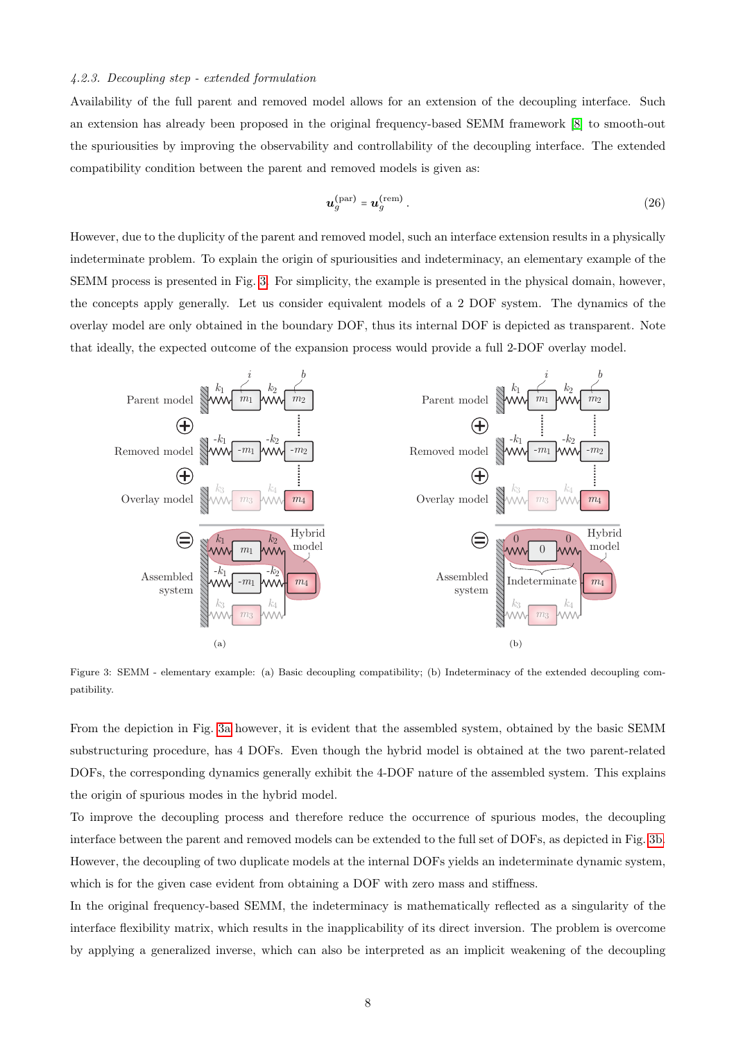# 4.2.3. Decoupling step - extended formulation

Availability of the full parent and removed model allows for an extension of the decoupling interface. Such an extension has already been proposed in the original frequency-based SEMM framework [\[8\]](#page-23-4) to smooth-out the spuriousities by improving the observability and controllability of the decoupling interface. The extended compatibility condition between the parent and removed models is given as:

<span id="page-7-1"></span>
$$
\boldsymbol{u}_g^{\text{(par)}} = \boldsymbol{u}_g^{\text{(rem)}}\,. \tag{26}
$$

However, due to the duplicity of the parent and removed model, such an interface extension results in a physically indeterminate problem. To explain the origin of spuriousities and indeterminacy, an elementary example of the SEMM process is presented in Fig. [3.](#page-7-0) For simplicity, the example is presented in the physical domain, however, the concepts apply generally. Let us consider equivalent models of a 2 DOF system. The dynamics of the overlay model are only obtained in the boundary DOF, thus its internal DOF is depicted as transparent. Note that ideally, the expected outcome of the expansion process would provide a full 2-DOF overlay model.

<span id="page-7-0"></span>

Figure 3: SEMM - elementary example: (a) Basic decoupling compatibility; (b) Indeterminacy of the extended decoupling compatibility.

From the depiction in Fig. [3a](#page-7-0) however, it is evident that the assembled system, obtained by the basic SEMM substructuring procedure, has 4 DOFs. Even though the hybrid model is obtained at the two parent-related DOFs, the corresponding dynamics generally exhibit the 4-DOF nature of the assembled system. This explains the origin of spurious modes in the hybrid model.

To improve the decoupling process and therefore reduce the occurrence of spurious modes, the decoupling interface between the parent and removed models can be extended to the full set of DOFs, as depicted in Fig. [3b.](#page-7-0) However, the decoupling of two duplicate models at the internal DOFs yields an indeterminate dynamic system, which is for the given case evident from obtaining a DOF with zero mass and stiffness.

In the original frequency-based SEMM, the indeterminacy is mathematically reflected as a singularity of the interface flexibility matrix, which results in the inapplicability of its direct inversion. The problem is overcome by applying a generalized inverse, which can also be interpreted as an implicit weakening of the decoupling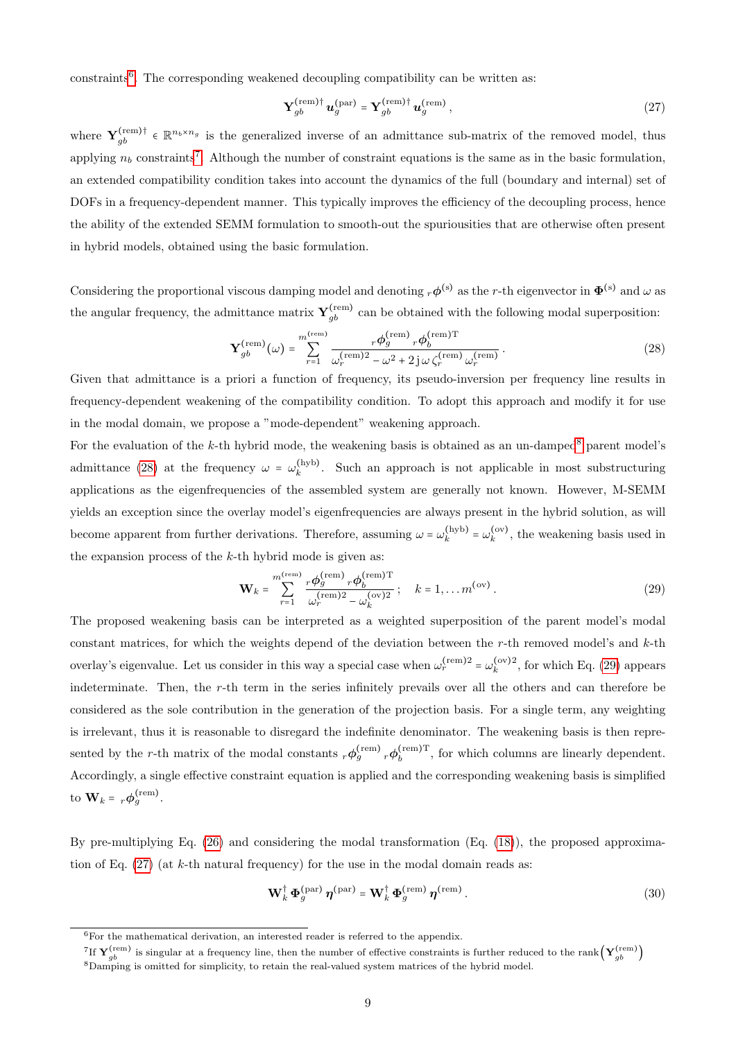constraints<sup>[6](#page-8-0)</sup>. The corresponding weakened decoupling compatibility can be written as:

<span id="page-8-5"></span><span id="page-8-3"></span>
$$
\mathbf{Y}_{gb}^{\text{(rem)}\dagger} \mathbf{u}_{g}^{\text{(par)}} = \mathbf{Y}_{gb}^{\text{(rem)}\dagger} \mathbf{u}_{g}^{\text{(rem)}}, \tag{27}
$$

where  $\mathbf{Y}_{gb}^{(rem)\dagger} \in \mathbb{R}^{n_b \times n_g}$  is the generalized inverse of an admittance sub-matrix of the removed model, thus applying  $n_b$  constraints<sup>[7](#page-8-1)</sup>. Although the number of constraint equations is the same as in the basic formulation, an extended compatibility condition takes into account the dynamics of the full (boundary and internal) set of DOFs in a frequency-dependent manner. This typically improves the efficiency of the decoupling process, hence the ability of the extended SEMM formulation to smooth-out the spuriousities that are otherwise often present in hybrid models, obtained using the basic formulation.

Considering the proportional viscous damping model and denoting  $_r\phi^{(s)}$  as the r-th eigenvector in  $\Phi^{(s)}$  and  $\omega$  as the angular frequency, the admittance matrix  $\mathbf{Y}_{gb}^{(\text{rem})}$  can be obtained with the following modal superposition:

$$
\mathbf{Y}_{gb}^{\text{(rem)}}(\omega) = \sum_{r=1}^{m^{\text{(rem)}}} \frac{r \phi_g^{\text{(rem)}} r \phi_b^{\text{(rem)}} \mathbf{T}}{\omega_r^{\text{(rem)}}^2 - \omega^2 + 2j \omega \zeta_r^{\text{(rem)}} \omega_r^{\text{(rem)}}}.
$$
 (28)

Given that admittance is a priori a function of frequency, its pseudo-inversion per frequency line results in frequency-dependent weakening of the compatibility condition. To adopt this approach and modify it for use in the modal domain, we propose a "mode-dependent" weakening approach.

For the evaluation of the k-th hybrid mode, the weakening basis is obtained as an un-damped<sup>[8](#page-8-2)</sup> parent model's admittance [\(28\)](#page-8-3) at the frequency  $\omega = \omega_k^{\text{(hyb)}}$  $\kappa_k^{(\text{hyb})}$ . Such an approach is not applicable in most substructuring applications as the eigenfrequencies of the assembled system are generally not known. However, M-SEMM yields an exception since the overlay model's eigenfrequencies are always present in the hybrid solution, as will become apparent from further derivations. Therefore, assuming  $\omega = \omega_k^{(\text{hyb})}$  $\binom{(\text{hyb})}{k} = \omega_k^{(\text{ov})}$  $k_k^{(ov)}$ , the weakening basis used in the expansion process of the k-th hybrid mode is given as:

<span id="page-8-4"></span>
$$
\mathbf{W}_k = \sum_{r=1}^{m(\text{rem})} \frac{r \phi_g^{\text{(rem)}} r \phi_b^{\text{(rem)T}}}{\omega_r^{\text{(rem)}2} - \omega_k^{\text{(ov)}2}}; \quad k = 1, \dots m^{\text{(ov)}}.
$$
 (29)

The proposed weakening basis can be interpreted as a weighted superposition of the parent model's modal constant matrices, for which the weights depend of the deviation between the  $r$ -th removed model's and  $k$ -th overlay's eigenvalue. Let us consider in this way a special case when  $\omega_r^{(\text{rem})2} = \omega_k^{(\text{ov})2}$  $k_k^{(ov)2}$ , for which Eq. [\(29\)](#page-8-4) appears indeterminate. Then, the r-th term in the series infinitely prevails over all the others and can therefore be considered as the sole contribution in the generation of the projection basis. For a single term, any weighting is irrelevant, thus it is reasonable to disregard the indefinite denominator. The weakening basis is then represented by the *r*-th matrix of the modal constants  $_r\phi_g^{\text{(rem)}} r \phi_b^{\text{(rem)}}$  $b_b^{\text{(rem)}\text{1}}$ , for which columns are linearly dependent. Accordingly, a single effective constraint equation is applied and the corresponding weakening basis is simplified to  $\mathbf{W}_k = {}_{r}\boldsymbol{\phi}_g^{\text{(rem)}}$ .

By pre-multiplying Eq. [\(26\)](#page-7-1) and considering the modal transformation (Eq. [\(18\)](#page-5-3)), the proposed approximation of Eq.  $(27)$  (at k-th natural frequency) for the use in the modal domain reads as:

<span id="page-8-6"></span>
$$
\mathbf{W}_{k}^{\dagger} \boldsymbol{\Phi}_{g}^{\text{(par)}} \boldsymbol{\eta}^{\text{(par)}} = \mathbf{W}_{k}^{\dagger} \boldsymbol{\Phi}_{g}^{\text{(rem)}} \boldsymbol{\eta}^{\text{(rem)}} . \tag{30}
$$

<span id="page-8-0"></span> $^6\!$  For the mathematical derivation, an interested reader is referred to the appendix.

<span id="page-8-2"></span><span id="page-8-1"></span><sup>&</sup>lt;sup>7</sup>If  $\mathbf{Y}_{gb}^{(\text{rem})}$  is singular at a frequency line, then the number of effective constraints is further reduced to the rank  $(\mathbf{Y}_{gb}^{(\text{rem})})$ <sup>8</sup>Damping is omitted for simplicity, to retain the real-valued system matrices of the hybrid model.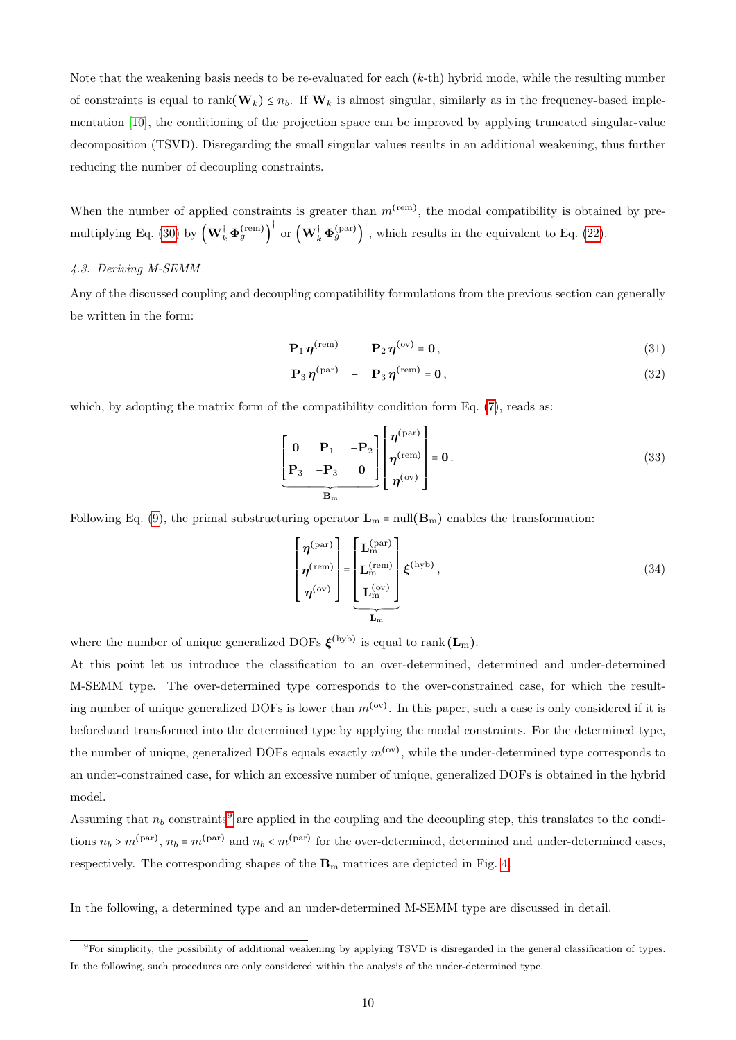Note that the weakening basis needs to be re-evaluated for each (k-th) hybrid mode, while the resulting number of constraints is equal to  $rank(\mathbf{W}_k) \leq n_b$ . If  $\mathbf{W}_k$  is almost singular, similarly as in the frequency-based implementation [\[10\]](#page-23-6), the conditioning of the projection space can be improved by applying truncated singular-value decomposition (TSVD). Disregarding the small singular values results in an additional weakening, thus further reducing the number of decoupling constraints.

When the number of applied constraints is greater than  $m<sup>(rem)</sup>$ , the modal compatibility is obtained by pre-multiplying Eq. [\(30\)](#page-8-6) by  $\left(\mathbf{W}_{k}^{\dagger} \boldsymbol{\Phi}_{g}^{(\text{rem})}\right)^{\dagger}$  or  $\left(\mathbf{W}_{k}^{\dagger} \boldsymbol{\Phi}_{g}^{(\text{par})}\right)^{\dagger}$ , which results in the equivalent to Eq. [\(22\)](#page-6-3).

#### 4.3. Deriving M-SEMM

Any of the discussed coupling and decoupling compatibility formulations from the previous section can generally be written in the form:

$$
\mathbf{P}_1 \eta^{\text{(rem)}} - \mathbf{P}_2 \eta^{\text{(ov)}} = \mathbf{0},\tag{31}
$$

$$
\mathbf{P}_3 \eta^{\text{(par)}} - \mathbf{P}_3 \eta^{\text{(rem)}} = \mathbf{0},\tag{32}
$$

which, by adopting the matrix form of the compatibility condition form Eq. [\(7\)](#page-2-2), reads as:

$$
\left[\begin{array}{ccc} \mathbf{0} & \mathbf{P}_1 & -\mathbf{P}_2 \\ \mathbf{P}_3 & -\mathbf{P}_3 & \mathbf{0} \end{array}\right] \left[\begin{array}{l} \eta^{(\text{par})} \\ \eta^{(\text{rem})} \\ \eta^{(\text{ov})} \end{array}\right] = \mathbf{0}. \tag{33}
$$

Following Eq. [\(9\)](#page-2-4), the primal substructuring operator  $\mathbf{L}_m$  = null $(\mathbf{B}_m)$  enables the transformation:

<span id="page-9-1"></span>
$$
\begin{bmatrix}\n\eta^{(\text{par})} \\
\eta^{(\text{rem})} \\
\eta^{(\text{ow})}\n\end{bmatrix} = \underbrace{\begin{bmatrix}\nL_{\text{m}}^{(\text{par})} \\
L_{\text{m}}^{(\text{rem})} \\
L_{\text{m}}^{(\text{ow})}\n\end{bmatrix}}_{\mathbf{L}_{\text{m}}} \xi^{(\text{hyb})},
$$
\n(34)

where the number of unique generalized DOFs  $\xi^{\text{(hyb)}}$  is equal to rank  $(\mathbf{L}_{\text{m}})$ .

At this point let us introduce the classification to an over-determined, determined and under-determined M-SEMM type. The over-determined type corresponds to the over-constrained case, for which the resulting number of unique generalized DOFs is lower than  $m^{(ov)}$ . In this paper, such a case is only considered if it is beforehand transformed into the determined type by applying the modal constraints. For the determined type, the number of unique, generalized DOFs equals exactly  $m^{(ov)}$ , while the under-determined type corresponds to an under-constrained case, for which an excessive number of unique, generalized DOFs is obtained in the hybrid model.

Assuming that  $n_b$  constraints<sup>[9](#page-9-0)</sup> are applied in the coupling and the decoupling step, this translates to the conditions  $n_b > m^{\text{(par)}}, n_b = m^{\text{(par)}}$  and  $n_b < m^{\text{(par)}}$  for the over-determined, determined and under-determined cases, respectively. The corresponding shapes of the  $B<sub>m</sub>$  matrices are depicted in Fig. [4.](#page-10-0)

In the following, a determined type and an under-determined M-SEMM type are discussed in detail.

<span id="page-9-0"></span><sup>9</sup>For simplicity, the possibility of additional weakening by applying TSVD is disregarded in the general classification of types. In the following, such procedures are only considered within the analysis of the under-determined type.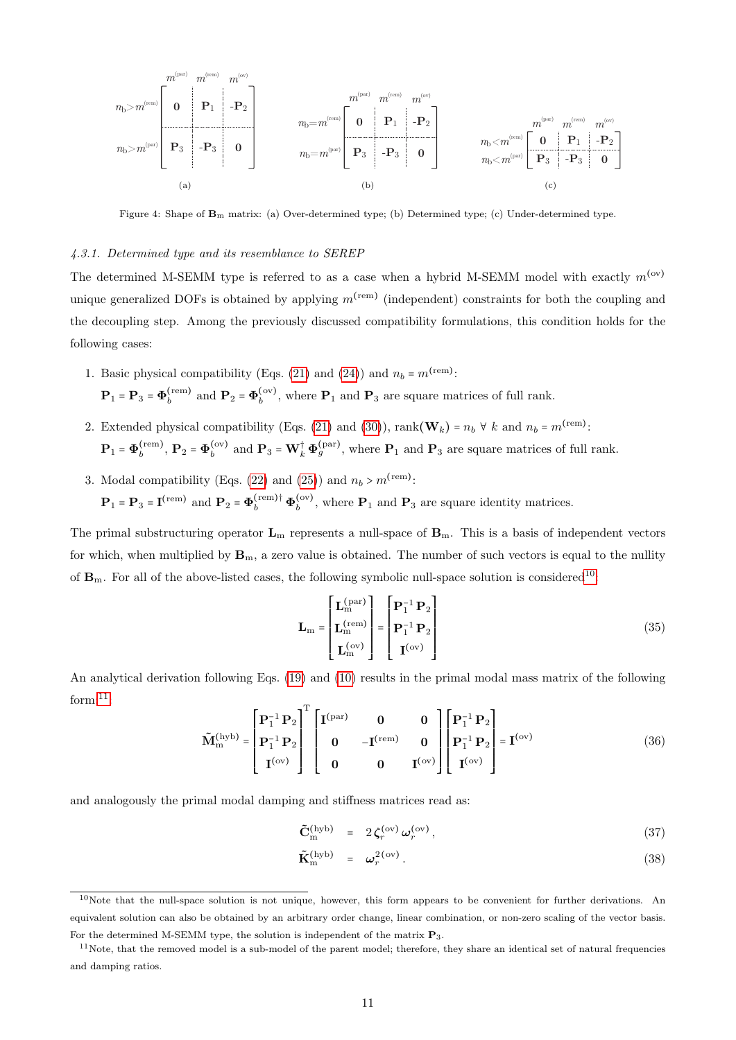<span id="page-10-0"></span>
$$
n_b\!>\!m^{(\mathrm{ren})}\!\!\left[\begin{array}{c|c} m^{(\mathrm{par})} & m^{(\mathrm{ren})} & m^{(\mathrm{ren})} \\ \hline \\ \rule{0mm}{6.5mm}\end{array}\right.\\ \left.\begin{array}{c|c} m^{(\mathrm{pen})} & m^{(\mathrm{ren})} & m^{(\mathrm{ren})} \\ \hline \\ \rule{0mm}{6.5mm}\end{array}\right.\\ \left.\begin{array}{c|c} m^{(\mathrm{pen})} & m^{(\mathrm{ren})} & m^{(\mathrm{ren})} & m^{(\mathrm{ren})} \\ \hline \\ \rule{0mm}{6.5mm}\end{array}\right.\\ \left.\begin{array}{c|c} m^{(\mathrm{pen})} & m^{(\mathrm{ren})} & m^{(\mathrm{ren})} \\ \hline \\ \rule{0mm}{6.5mm}\end{array}\right.\\ \left.\begin{array}{c|c} m_{\mathrm{pen}} & m^{(\mathrm{ren})} & m^{(\mathrm{ren})} \\ \hline \\ \rule{0mm}{6.5mm}\end{array}\right.\\ \left.\begin{array}{c|c} m_{\mathrm{pen}} & m^{(\mathrm{ren})} & m^{(\mathrm{ren})} \\ \hline \\ \rule{0mm}{6.5mm}\end{array}\right.\\ \left.\begin{array}{c|c} m_{\mathrm{pen}} & m^{(\mathrm{ren})} & m^{(\mathrm{ren})} \\ \hline \\ \rule{0mm}{6.5mm}\end{array}\right.\\ \left.\begin{array}{c|c} m_{\mathrm{pen}} & m^{(\mathrm{ren})} & m^{(\mathrm{ren})} \\ \hline \\ \rule{0mm}{6.5mm}\end{array}\right.\\ \left.\begin{array}{c|c} m_{\mathrm{pen}} & m^{(\mathrm{ren})} & m^{(\mathrm{ren})} \\ \hline \\ \rule{0mm}{6.5mm}\end{array}\right.\\ \left.\begin{array}{c|c} m_{\mathrm{pen}} & m^{(\mathrm{ren})} & m^{(\mathrm{ren})} \\ \hline \\ \rule{0mm}{6.5mm}\end{array}\right.\\ \left.\begin{array}{c|c} m_{\mathrm{pen}} & m^{(\mathrm{ren})} & m^{(\mathrm{ren})} \\ \hline \\ \rule{0mm}{6.5mm}\end{array}\right.\\ \left.\begin{array}{c|c} m_{\mathrm{pen}} & m^{(\mathrm{ren})} & m^{(\mathrm{ren})} \\ \hline \\ \rule{0mm}{6.5mm}\end{array}\right.\\ \left.\begin{array}{c|c} m_{\mathrm{pen}} & m^{(\mathrm
$$

Figure 4: Shape of  $\mathbf{B}_m$  matrix: (a) Over-determined type; (b) Determined type; (c) Under-determined type.

# 4.3.1. Determined type and its resemblance to SEREP

The determined M-SEMM type is referred to as a case when a hybrid M-SEMM model with exactly  $m^{(ov)}$ unique generalized DOFs is obtained by applying  $m^{\text{(rem)}}$  (independent) constraints for both the coupling and the decoupling step. Among the previously discussed compatibility formulations, this condition holds for the following cases:

- 1. Basic physical compatibility (Eqs. [\(21\)](#page-6-0) and [\(24\)](#page-6-2)) and  $n_b = m^{\text{(rem)}}$ :  $\mathbf{P}_1$  =  $\mathbf{P}_3$  =  $\boldsymbol{\Phi}_b^{\mathrm{(rem)}}$  $\Phi_b^{\text{(rem)}}$  and  $\mathbf{P}_2 = \mathbf{\Phi}_b^{\text{(ov)}}$  $\mathbf{b}^{(ov)}$ , where  $\mathbf{P}_1$  and  $\mathbf{P}_3$  are square matrices of full rank.
- 2. Extended physical compatibility (Eqs. [\(21\)](#page-6-0) and [\(30\)](#page-8-6)), rank( $\mathbf{W}_k$ ) =  $n_b \forall k$  and  $n_b = m^{\text{(rem)}}$ :  $\mathbf{P}_1$  =  $\boldsymbol{\Phi}_b^{\text{(rem)}}$  $\mathbf{b}^{\text{(rem)}}, \mathbf{P}_2 = \mathbf{\Phi}_b^{\text{(ov)}}$  $\mathbf{b}_b^{(\text{ov})}$  and  $\mathbf{P}_3 = \mathbf{W}_k^{\dagger} \mathbf{\Phi}_g^{(\text{par})}$ , where  $\mathbf{P}_1$  and  $\mathbf{P}_3$  are square matrices of full rank.
- 3. Modal compatibility (Eqs. [\(22\)](#page-6-3) and [\(25\)](#page-6-4)) and  $n_b > m^{\text{(rem)}}$ :  $\mathbf{P}_1 = \mathbf{P}_3 = \mathbf{I}^{\text{(rem)}}$  and  $\mathbf{P}_2 = \mathbf{\Phi}_b^{\text{(rem)}} \dagger \mathbf{\Phi}_b^{\text{(ov)}}$  $\mathbf{b}^{(ov)}$ , where  $\mathbf{P}_1$  and  $\mathbf{P}_3$  are square identity matrices.

The primal substructuring operator  $L_m$  represents a null-space of  $B_m$ . This is a basis of independent vectors for which, when multiplied by  $\mathbf{B}_m$ , a zero value is obtained. The number of such vectors is equal to the nullity of  $\mathbf{B}_{\text{m}}$ . For all of the above-listed cases, the following symbolic null-space solution is considered<sup>[10](#page-10-1)</sup>:

$$
\mathbf{L}_{\rm m} = \begin{bmatrix} \mathbf{L}_{\rm m}^{\text{(par)}} \\ \mathbf{L}_{\rm m}^{\text{(rem)}} \\ \mathbf{L}_{\rm m}^{\text{(ov)}} \end{bmatrix} = \begin{bmatrix} \mathbf{P}_{1}^{-1} \mathbf{P}_{2} \\ \mathbf{P}_{1}^{-1} \mathbf{P}_{2} \\ \mathbf{I}^{\text{(ov)}} \end{bmatrix}
$$
(35)

An analytical derivation following Eqs. [\(19\)](#page-5-4) and [\(10\)](#page-2-5) results in the primal modal mass matrix of the following  $form: <sup>11</sup>:$  $form: <sup>11</sup>:$  $form: <sup>11</sup>:$ 

$$
\tilde{M}_{m}^{(hyb)} = \begin{bmatrix} P_{1}^{-1} P_{2} \\ P_{1}^{-1} P_{2} \\ I^{(ov)} \end{bmatrix}^{T} \begin{bmatrix} I^{(par)} & 0 & 0 \\ 0 & -I^{(rem)} & 0 \\ 0 & 0 & I^{(ov)} \end{bmatrix} \begin{bmatrix} P_{1}^{-1} P_{2} \\ P_{1}^{-1} P_{2} \\ I^{(ov)} \end{bmatrix} = I^{(ov)}
$$
(36)

and analogously the primal modal damping and stiffness matrices read as:

$$
\tilde{\mathbf{C}}_{\rm m}^{\rm (hyb)} = 2 \zeta_r^{\rm (ov)} \omega_r^{\rm (ov)}, \qquad (37)
$$

$$
\tilde{\mathbf{K}}_{\rm m}^{\rm (hyb)} = \boldsymbol{\omega}_r^{2\,{\rm (ov)}}.
$$
\n(38)

<span id="page-10-1"></span> $10$ Note that the null-space solution is not unique, however, this form appears to be convenient for further derivations. An equivalent solution can also be obtained by an arbitrary order change, linear combination, or non-zero scaling of the vector basis. For the determined M-SEMM type, the solution is independent of the matrix P3.

<span id="page-10-2"></span> $11$ Note, that the removed model is a sub-model of the parent model; therefore, they share an identical set of natural frequencies and damping ratios.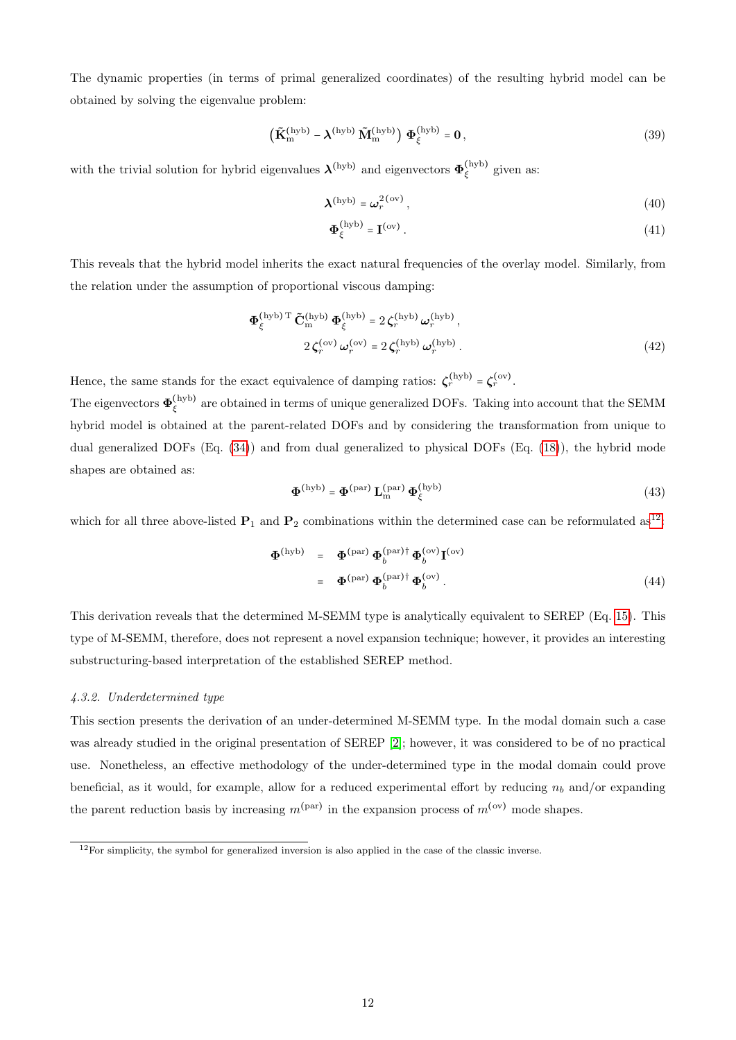The dynamic properties (in terms of primal generalized coordinates) of the resulting hybrid model can be obtained by solving the eigenvalue problem:

$$
\left(\tilde{\mathbf{K}}_{\text{m}}^{(\text{hyb})} - \boldsymbol{\lambda}^{(\text{hyb})} \tilde{\mathbf{M}}_{\text{m}}^{(\text{hyb})}\right) \boldsymbol{\Phi}_{\xi}^{(\text{hyb})} = \mathbf{0},\tag{39}
$$

with the trivial solution for hybrid eigenvalues  $\lambda^{(hyb)}$  and eigenvectors  $\Phi_{\varepsilon}^{(hyb)}$  $\zeta$ <sup>(nyb)</sup> given as:

$$
\boldsymbol{\lambda}^{\text{(hyb)}} = \boldsymbol{\omega}_r^{2\,\text{(ov)}},\tag{40}
$$

$$
\Phi_{\xi}^{\text{(hyb)}} = \mathbf{I}^{\text{(ov)}}.
$$
 (41)

This reveals that the hybrid model inherits the exact natural frequencies of the overlay model. Similarly, from the relation under the assumption of proportional viscous damping:

$$
\Phi_{\xi}^{\text{(hyb) T}} \tilde{\mathbf{C}}_{\text{m}}^{\text{(hyb)}} \Phi_{\xi}^{\text{(hyb)}} = 2 \zeta_{r}^{\text{(hyb)}} \omega_{r}^{\text{(hyb)}},
$$
\n
$$
2 \zeta_{r}^{\text{(ov)}} \omega_{r}^{\text{(ov)}} = 2 \zeta_{r}^{\text{(hyb)}} \omega_{r}^{\text{(hyb)}}.
$$
\n(42)

Hence, the same stands for the exact equivalence of damping ratios:  $\zeta_r^{(\text{hyb})} = \zeta_r^{(\text{ov})}$ .

The eigenvectors  $\boldsymbol{\Phi}^{\rm (hyb)}_{\varepsilon}$  $\zeta$ <sup>(nyb)</sup> are obtained in terms of unique generalized DOFs. Taking into account that the SEMM hybrid model is obtained at the parent-related DOFs and by considering the transformation from unique to dual generalized DOFs (Eq. [\(34\)](#page-9-1)) and from dual generalized to physical DOFs (Eq. [\(18\)](#page-5-3)), the hybrid mode shapes are obtained as:

$$
\mathbf{\Phi}^{\text{(hyb)}} = \mathbf{\Phi}^{\text{(par)}} \mathbf{L}_{\text{m}}^{\text{(par)}} \mathbf{\Phi}_{\xi}^{\text{(hyb)}} \tag{43}
$$

which for all three above-listed  $P_1$  and  $P_2$  combinations within the determined case can be reformulated as<sup>[12](#page-11-0)</sup>:

$$
\Phi^{(\text{hyb})} = \Phi^{(\text{par})} \Phi_b^{(\text{par}) \dagger} \Phi_b^{(\text{ov})} \mathbf{I}^{(\text{ov})}
$$
  
= 
$$
\Phi^{(\text{par})} \Phi_b^{(\text{par}) \dagger} \Phi_b^{(\text{ov})} .
$$
 (44)

This derivation reveals that the determined M-SEMM type is analytically equivalent to SEREP (Eq. [15\)](#page-4-3). This type of M-SEMM, therefore, does not represent a novel expansion technique; however, it provides an interesting substructuring-based interpretation of the established SEREP method.

# 4.3.2. Underdetermined type

This section presents the derivation of an under-determined M-SEMM type. In the modal domain such a case was already studied in the original presentation of SEREP [\[2\]](#page-23-1); however, it was considered to be of no practical use. Nonetheless, an effective methodology of the under-determined type in the modal domain could prove beneficial, as it would, for example, allow for a reduced experimental effort by reducing  $n_b$  and/or expanding the parent reduction basis by increasing  $m^{(par)}$  in the expansion process of  $m^{(ov)}$  mode shapes.

<span id="page-11-0"></span> $12$ For simplicity, the symbol for generalized inversion is also applied in the case of the classic inverse.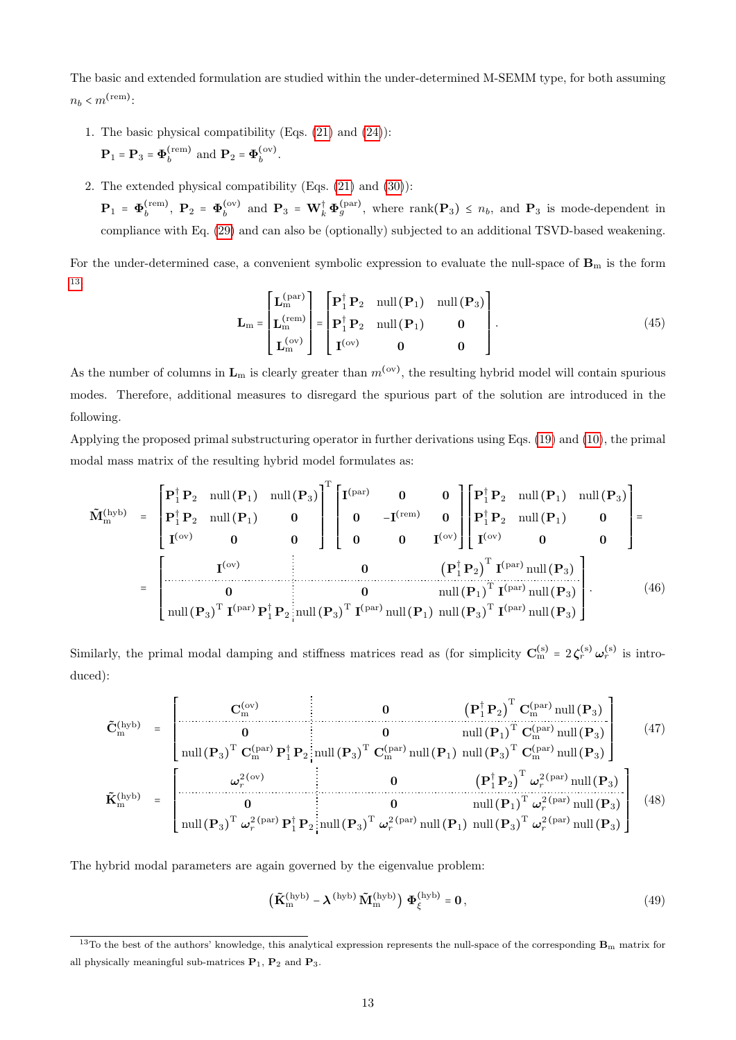The basic and extended formulation are studied within the under-determined M-SEMM type, for both assuming  $n_b < m^{\text{(rem)}}$ :

- 1. The basic physical compatibility (Eqs. [\(21\)](#page-6-0) and [\(24\)](#page-6-2)):  $\mathbf{P}_1$  =  $\mathbf{P}_3$  =  $\boldsymbol{\Phi}_b^{\mathrm{(rem)}}$  $\Phi_b^{\text{(rem)}}$  and  $\mathbf{P}_2 = \mathbf{\Phi}_b^{\text{(ov)}}$  $b^{(ov)}$ .
- 2. The extended physical compatibility (Eqs. [\(21\)](#page-6-0) and [\(30\)](#page-8-6)):

 $\mathbf{P}_1$  =  $\boldsymbol{\Phi}_b^{\text{(rem)}}$  $\Phi_b^{\text{(rem)}}, \; \mathbf{P}_2 = \mathbf{\Phi}_b^{\text{(ov)}}$  $\mathbf{p}_b^{(ov)}$  and  $\mathbf{P}_3 = \mathbf{W}_k^{\dagger} \boldsymbol{\Phi}_g^{(par)}$ , where rank $(\mathbf{P}_3) \leq n_b$ , and  $\mathbf{P}_3$  is mode-dependent in compliance with Eq. [\(29\)](#page-8-4) and can also be (optionally) subjected to an additional TSVD-based weakening.

For the under-determined case, a convenient symbolic expression to evaluate the null-space of  $B<sub>m</sub>$  is the form [13](#page-12-0):

$$
\mathbf{L}_{\rm m} = \begin{bmatrix} \mathbf{L}_{\rm m}^{\text{(par)}} \\ \mathbf{L}_{\rm m}^{\text{(rem)}} \\ \mathbf{L}_{\rm m}^{\text{(ov)}} \end{bmatrix} = \begin{bmatrix} \mathbf{P}_{1}^{\dagger} \mathbf{P}_{2} & \text{null} \left( \mathbf{P}_{1} \right) & \text{null} \left( \mathbf{P}_{3} \right) \\ \mathbf{P}_{1}^{\dagger} \mathbf{P}_{2} & \text{null} \left( \mathbf{P}_{1} \right) & \mathbf{0} \\ \mathbf{I}^{\text{(ov)}} & \mathbf{0} & \mathbf{0} \end{bmatrix} . \tag{45}
$$

As the number of columns in  $L_m$  is clearly greater than  $m^{(ov)}$ , the resulting hybrid model will contain spurious modes. Therefore, additional measures to disregard the spurious part of the solution are introduced in the following.

Applying the proposed primal substructuring operator in further derivations using Eqs. [\(19\)](#page-5-4) and [\(10\)](#page-2-5), the primal modal mass matrix of the resulting hybrid model formulates as:

<span id="page-12-1"></span>
$$
\tilde{\mathbf{M}}_{m}^{(hyb)} = \begin{bmatrix} \mathbf{P}_{1}^{\dagger} \mathbf{P}_{2} & \text{null}(\mathbf{P}_{1}) & \text{null}(\mathbf{P}_{3}) \\ \mathbf{P}_{1}^{\dagger} \mathbf{P}_{2} & \text{null}(\mathbf{P}_{1}) & \mathbf{0} \\ \mathbf{I}^{(ov)} & \mathbf{0} & \mathbf{0} \end{bmatrix}^{\text{T}} \begin{bmatrix} \mathbf{I}^{(par)} & \mathbf{0} & \mathbf{0} \\ \mathbf{0} & -\mathbf{I}^{(rem)} & \mathbf{0} \\ \mathbf{0} & \mathbf{0} & \mathbf{I}^{(ov)} \end{bmatrix} \begin{bmatrix} \mathbf{P}_{1}^{\dagger} \mathbf{P}_{2} & \text{null}(\mathbf{P}_{1}) & \text{null}(\mathbf{P}_{3}) \\ \mathbf{P}_{1}^{\dagger} \mathbf{P}_{2} & \text{null}(\mathbf{P}_{1}) & \mathbf{0} \\ \mathbf{I}^{(ov)} & \mathbf{0} & \mathbf{0} \end{bmatrix} = \begin{bmatrix} \mathbf{I}^{(ov)} & \mathbf{I}^{(ov)} \\ \mathbf{I}^{(ov)} & \mathbf{I}^{(ov)} \end{bmatrix}
$$
\n
$$
= \begin{bmatrix} \mathbf{I}^{(ov)} & \mathbf{I}^{(ov)} \\ \mathbf{I}^{(ov)} & \mathbf{I}^{(ov)} \end{bmatrix}^{\text{T}} \mathbf{I}^{(par)} \mathbf{I}^{(par)} \mathbf{I}^{(par)} \mathbf{I}^{(par)} \mathbf{I}^{(par)} \mathbf{I}^{(par)} \mathbf{I}^{(par)} \mathbf{I}^{(par)} \mathbf{I}^{(par)} \mathbf{I}^{(par)} \mathbf{I}^{(par)} \mathbf{I}^{(par)} \mathbf{I}^{(par)} \mathbf{I}^{(par)} \mathbf{I}^{(par)} \mathbf{I}^{(par)} \mathbf{I}^{(par)} \mathbf{I}^{(par)} \mathbf{I}^{(par)} \mathbf{I}^{(par)} \mathbf{I}^{(par)} \mathbf{I}^{(par)} \mathbf{I}^{(par)} \mathbf{I}^{(par)} \mathbf{I}^{(par)} \mathbf{I}^{(par)} \mathbf{I}
$$

Similarly, the primal modal damping and stiffness matrices read as (for simplicity  $\mathbf{C}_{m}^{(s)} = 2 \zeta_r^{(s)} \omega_r^{(s)}$  is introduced):

<span id="page-12-2"></span>
$$
\tilde{\mathbf{C}}_{\text{m}}^{(\text{hyb})} = \begin{bmatrix}\n\mathbf{C}_{\text{m}}^{(\text{ov})} & \mathbf{0} & \left(\mathbf{P}_{1}^{\dagger}\mathbf{P}_{2}\right)^{\text{T}}\mathbf{C}_{\text{m}}^{(\text{par})}\text{null}\left(\mathbf{P}_{3}\right) \\
\mathbf{0} & \mathbf{0} & \text{null}\left(\mathbf{P}_{1}\right)^{\text{T}}\mathbf{C}_{\text{m}}^{(\text{par})}\text{null}\left(\mathbf{P}_{3}\right) \\
\text{null}\left(\mathbf{P}_{3}\right)^{\text{T}}\mathbf{C}_{\text{m}}^{(\text{par})}\mathbf{P}_{1}^{\dagger}\mathbf{P}_{2} & \text{null}\left(\mathbf{P}_{3}\right)^{\text{T}}\mathbf{C}_{\text{m}}^{(\text{par})}\text{null}\left(\mathbf{P}_{1}\right)\text{null}\left(\mathbf{P}_{3}\right)^{\text{T}}\mathbf{C}_{\text{m}}^{(\text{par})}\text{null}\left(\mathbf{P}_{3}\right)\n\end{bmatrix} \tag{47}
$$
\n
$$
\tilde{\mathbf{K}}_{\text{m}}^{(\text{hyb})} = \begin{bmatrix}\n\boldsymbol{\omega}_{r}^{2(\text{ov})} & \mathbf{0} & \left(\mathbf{P}_{1}^{\dagger}\mathbf{P}_{2}\right)^{\text{T}}\boldsymbol{\omega}_{r}^{2(\text{par})}\text{null}\left(\mathbf{P}_{3}\right) \\
\mathbf{0} & \mathbf{0} & \left(\mathbf{P}_{1}^{\dagger}\mathbf{P}_{2}\right)^{\text{T}}\boldsymbol{\omega}_{r}^{2(\text{par})}\text{null}\left(\mathbf{P}_{3}\right) \\
\text{null}\left(\mathbf{P}_{3}\right)^{\text{T}}\boldsymbol{\omega}_{r}^{2(\text{par})}\mathbf{P}_{1}^{\dagger}\mathbf{P}_{2} & \text{null}\left(\mathbf{P}_{3}\right)^{\text{T}}\boldsymbol{\omega}_{r}^{2(\text{par})}\text{null}\left(\mathbf{P}_{1}\right)\text{null}\left(\mathbf{P}_{3}\right)^{\text{T}}\boldsymbol{\omega}_{r}^{2(\text{par})}\text{null}\left(\mathbf{P}_{3}\right)\n\end{bmatrix} \tag{48}
$$

The hybrid modal parameters are again governed by the eigenvalue problem:

<span id="page-12-3"></span>
$$
\left(\tilde{\mathbf{K}}_{\text{m}}^{(\text{hyb})} - \boldsymbol{\lambda}^{(\text{hyb})} \tilde{\mathbf{M}}_{\text{m}}^{(\text{hyb})}\right) \boldsymbol{\Phi}_{\xi}^{(\text{hyb})} = \mathbf{0},\tag{49}
$$

<span id="page-12-0"></span><sup>&</sup>lt;sup>13</sup>To the best of the authors' knowledge, this analytical expression represents the null-space of the corresponding  $B<sub>m</sub>$  matrix for all physically meaningful sub-matrices  $P_1$ ,  $P_2$  and  $P_3$ .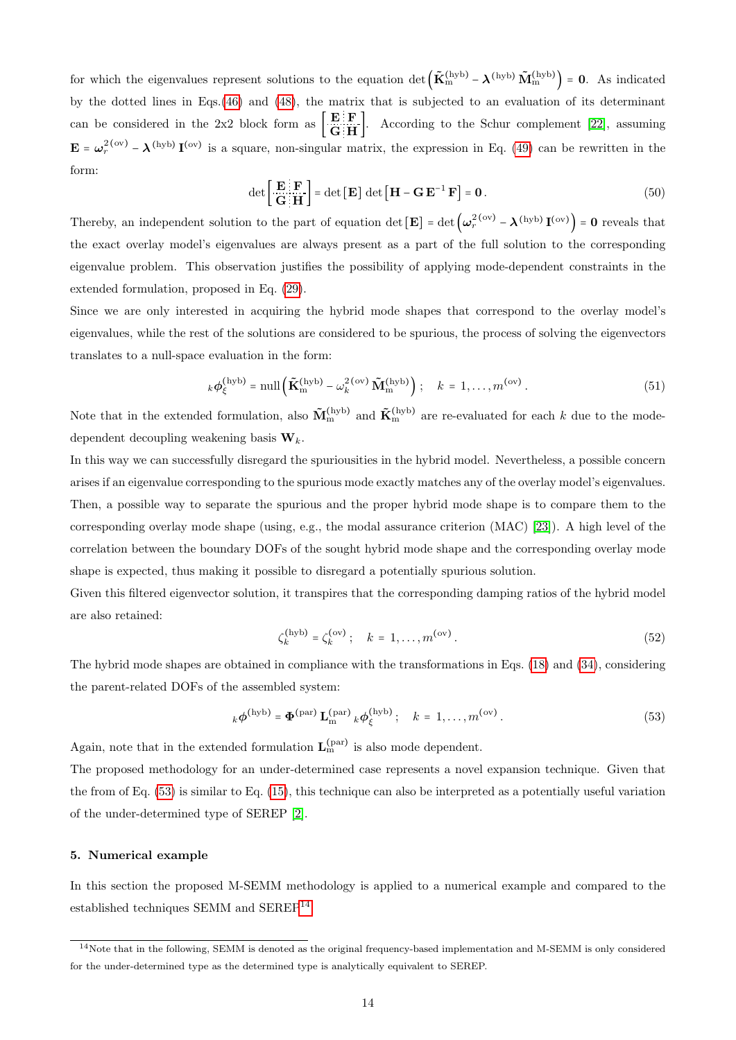for which the eigenvalues represent solutions to the equation det  $(\tilde{\mathbf{K}}_{m}^{(hyb)} - \boldsymbol{\lambda}^{(hyb)} \tilde{\mathbf{M}}_{m}^{(hyb)}) = 0$ . As indicated by the dotted lines in Eqs.[\(46\)](#page-12-1) and [\(48\)](#page-12-2), the matrix that is subjected to an evaluation of its determinant can be considered in the 2x2 block form as  $\begin{bmatrix} \mathbf{E} & \mathbf{F} \\ \mathbf{G} & \mathbf{H} \end{bmatrix}$ . According to the Schur complement [\[22\]](#page-24-6), assuming  $\mathbf{E} = \boldsymbol{\omega}_r^{2\text{(ov)}} - \boldsymbol{\lambda}^{(\text{hyb})} \mathbf{I}^{(\text{ov})}$  is a square, non-singular matrix, the expression in Eq. [\(49\)](#page-12-3) can be rewritten in the form:

$$
\det\left[\frac{\mathbf{E}\mathbf{E}}{\mathbf{G}\mathbf{H}}\right] = \det\left[\mathbf{E}\right] \det\left[\mathbf{H} - \mathbf{G}\,\mathbf{E}^{-1}\,\mathbf{F}\right] = \mathbf{0} \,. \tag{50}
$$

Thereby, an independent solution to the part of equation det  $[\mathbf{E}] = \det \left( \omega_r^{2\text{ (ov)}} - \lambda^{\text{(hyb)}} \mathbf{I}^{\text{(ov)}} \right) = \mathbf{0}$  reveals that the exact overlay model's eigenvalues are always present as a part of the full solution to the corresponding eigenvalue problem. This observation justifies the possibility of applying mode-dependent constraints in the extended formulation, proposed in Eq. [\(29\)](#page-8-4).

Since we are only interested in acquiring the hybrid mode shapes that correspond to the overlay model's eigenvalues, while the rest of the solutions are considered to be spurious, the process of solving the eigenvectors translates to a null-space evaluation in the form:

$$
k\phi_{\xi}^{\text{(hyb)}} = \text{null}\left(\tilde{\mathbf{K}}_{\text{m}}^{\text{(hyb)}} - \omega_k^{2\,\text{(ov)}}\tilde{\mathbf{M}}_{\text{m}}^{\text{(hyb)}}\right); \quad k = 1, \dots, m^{\text{(ov)}}.
$$
 (51)

Note that in the extended formulation, also  $\tilde{M}_m^{(hyb)}$  and  $\tilde{K}_m^{(hyb)}$  are re-evaluated for each k due to the modedependent decoupling weakening basis  $\mathbf{W}_k$ .

In this way we can successfully disregard the spuriousities in the hybrid model. Nevertheless, a possible concern arises if an eigenvalue corresponding to the spurious mode exactly matches any of the overlay model's eigenvalues. Then, a possible way to separate the spurious and the proper hybrid mode shape is to compare them to the corresponding overlay mode shape (using, e.g., the modal assurance criterion (MAC) [\[23\]](#page-24-7)). A high level of the correlation between the boundary DOFs of the sought hybrid mode shape and the corresponding overlay mode shape is expected, thus making it possible to disregard a potentially spurious solution.

Given this filtered eigenvector solution, it transpires that the corresponding damping ratios of the hybrid model are also retained:

<span id="page-13-1"></span>
$$
\zeta_k^{\text{(hyb)}} = \zeta_k^{\text{(ov)}}; \quad k = 1, \dots, m^{\text{(ov)}}.
$$
\n(52)

The hybrid mode shapes are obtained in compliance with the transformations in Eqs. [\(18\)](#page-5-3) and [\(34\)](#page-9-1), considering the parent-related DOFs of the assembled system:

$$
{}_{k}\boldsymbol{\phi}^{\text{(hyb)}} = \boldsymbol{\Phi}^{\text{(par)}} \mathbf{L}_{m}^{\text{(par)}} {}_{k}\boldsymbol{\phi}_{\xi}^{\text{(hyb)}}; \quad k = 1, \dots, m^{\text{(ov)}}.
$$

Again, note that in the extended formulation  $L_m^{(par)}$  is also mode dependent.

The proposed methodology for an under-determined case represents a novel expansion technique. Given that the from of Eq. [\(53\)](#page-13-1) is similar to Eq. [\(15\)](#page-4-3), this technique can also be interpreted as a potentially useful variation of the under-determined type of SEREP [\[2\]](#page-23-1).

# <span id="page-13-0"></span>5. Numerical example

In this section the proposed M-SEMM methodology is applied to a numerical example and compared to the established techniques SEMM and SEREP<sup>[14](#page-13-2)</sup>.

<span id="page-13-2"></span><sup>14</sup>Note that in the following, SEMM is denoted as the original frequency-based implementation and M-SEMM is only considered for the under-determined type as the determined type is analytically equivalent to SEREP.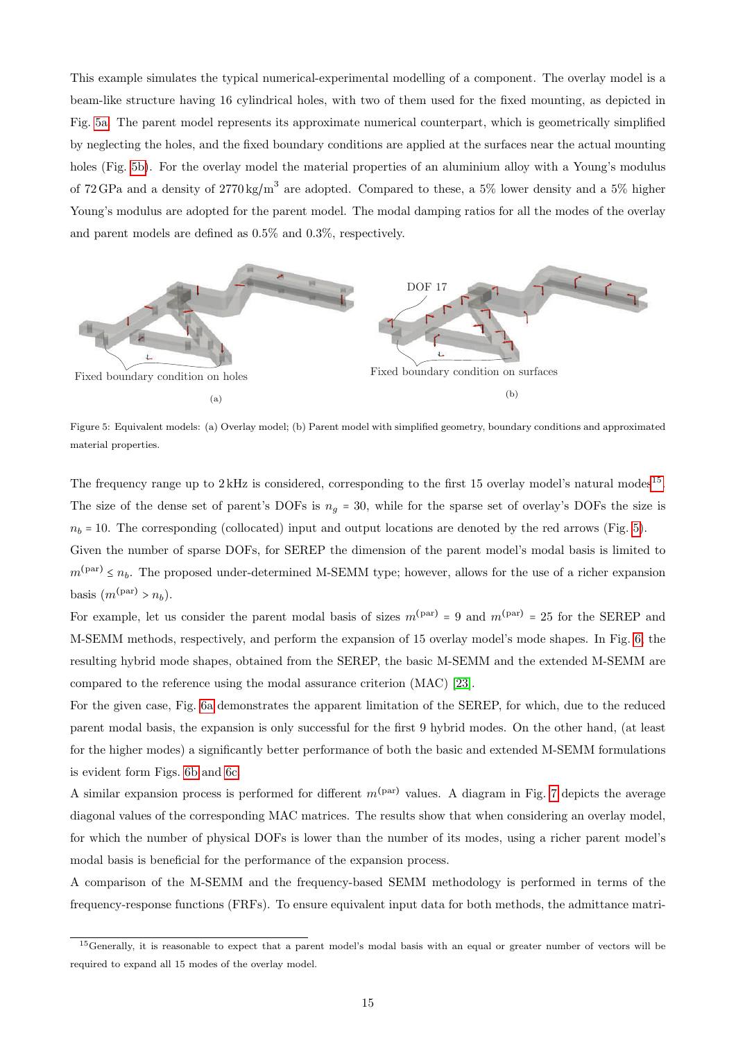This example simulates the typical numerical-experimental modelling of a component. The overlay model is a beam-like structure having 16 cylindrical holes, with two of them used for the fixed mounting, as depicted in Fig. [5a.](#page-14-0) The parent model represents its approximate numerical counterpart, which is geometrically simplified by neglecting the holes, and the fixed boundary conditions are applied at the surfaces near the actual mounting holes (Fig. [5b\)](#page-14-0). For the overlay model the material properties of an aluminium alloy with a Young's modulus of 72 GPa and a density of  $2770 \text{ kg/m}^3$  are adopted. Compared to these, a 5% lower density and a 5% higher Young's modulus are adopted for the parent model. The modal damping ratios for all the modes of the overlay and parent models are defined as 0.5% and 0.3%, respectively.

<span id="page-14-0"></span>

Figure 5: Equivalent models: (a) Overlay model; (b) Parent model with simplified geometry, boundary conditions and approximated material properties.

The frequency range up to  $2\,\text{kHz}$  is considered, corresponding to the first [15](#page-14-1) overlay model's natural modes<sup>15</sup>. The size of the dense set of parent's DOFs is  $n<sub>g</sub> = 30$ , while for the sparse set of overlay's DOFs the size is  $n_b = 10$ . The corresponding (collocated) input and output locations are denoted by the red arrows (Fig. [5\)](#page-14-0).

Given the number of sparse DOFs, for SEREP the dimension of the parent model's modal basis is limited to  $m^{(par)} \leq n_b$ . The proposed under-determined M-SEMM type; however, allows for the use of a richer expansion basis  $(m^{(par)} > n_b)$ .

For example, let us consider the parent modal basis of sizes  $m^{(par)} = 9$  and  $m^{(par)} = 25$  for the SEREP and M-SEMM methods, respectively, and perform the expansion of 15 overlay model's mode shapes. In Fig. [6,](#page-15-0) the resulting hybrid mode shapes, obtained from the SEREP, the basic M-SEMM and the extended M-SEMM are compared to the reference using the modal assurance criterion (MAC) [\[23\]](#page-24-7).

For the given case, Fig. [6a](#page-15-0) demonstrates the apparent limitation of the SEREP, for which, due to the reduced parent modal basis, the expansion is only successful for the first 9 hybrid modes. On the other hand, (at least for the higher modes) a significantly better performance of both the basic and extended M-SEMM formulations is evident form Figs. [6b](#page-15-0) and [6c.](#page-15-0)

A similar expansion process is performed for different  $m^{(par)}$  values. A diagram in Fig. [7](#page-15-1) depicts the average diagonal values of the corresponding MAC matrices. The results show that when considering an overlay model, for which the number of physical DOFs is lower than the number of its modes, using a richer parent model's modal basis is beneficial for the performance of the expansion process.

A comparison of the M-SEMM and the frequency-based SEMM methodology is performed in terms of the frequency-response functions (FRFs). To ensure equivalent input data for both methods, the admittance matri-

<span id="page-14-1"></span><sup>&</sup>lt;sup>15</sup>Generally, it is reasonable to expect that a parent model's modal basis with an equal or greater number of vectors will be required to expand all 15 modes of the overlay model.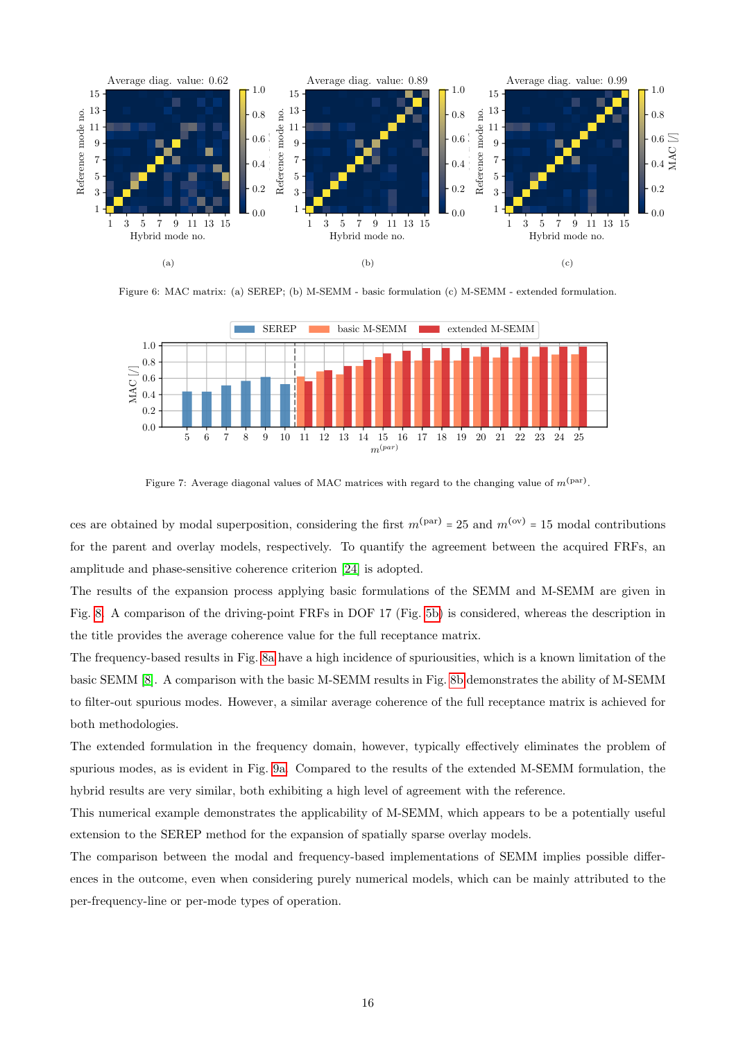<span id="page-15-0"></span>

Figure 6: MAC matrix: (a) SEREP; (b) M-SEMM - basic formulation (c) M-SEMM - extended formulation.

<span id="page-15-1"></span>

Figure 7: Average diagonal values of MAC matrices with regard to the changing value of  $m^{(\text{par})}$ .

ces are obtained by modal superposition, considering the first  $m^{(par)} = 25$  and  $m^{(ov)} = 15$  modal contributions for the parent and overlay models, respectively. To quantify the agreement between the acquired FRFs, an amplitude and phase-sensitive coherence criterion [\[24\]](#page-24-8) is adopted.

The results of the expansion process applying basic formulations of the SEMM and M-SEMM are given in Fig. [8.](#page-16-1) A comparison of the driving-point FRFs in DOF 17 (Fig. [5b\)](#page-14-0) is considered, whereas the description in the title provides the average coherence value for the full receptance matrix.

The frequency-based results in Fig. [8a](#page-16-1) have a high incidence of spuriousities, which is a known limitation of the basic SEMM [\[8\]](#page-23-4). A comparison with the basic M-SEMM results in Fig. [8b](#page-16-1) demonstrates the ability of M-SEMM to filter-out spurious modes. However, a similar average coherence of the full receptance matrix is achieved for both methodologies.

The extended formulation in the frequency domain, however, typically effectively eliminates the problem of spurious modes, as is evident in Fig. [9a.](#page-16-2) Compared to the results of the extended M-SEMM formulation, the hybrid results are very similar, both exhibiting a high level of agreement with the reference.

This numerical example demonstrates the applicability of M-SEMM, which appears to be a potentially useful extension to the SEREP method for the expansion of spatially sparse overlay models.

The comparison between the modal and frequency-based implementations of SEMM implies possible differences in the outcome, even when considering purely numerical models, which can be mainly attributed to the per-frequency-line or per-mode types of operation.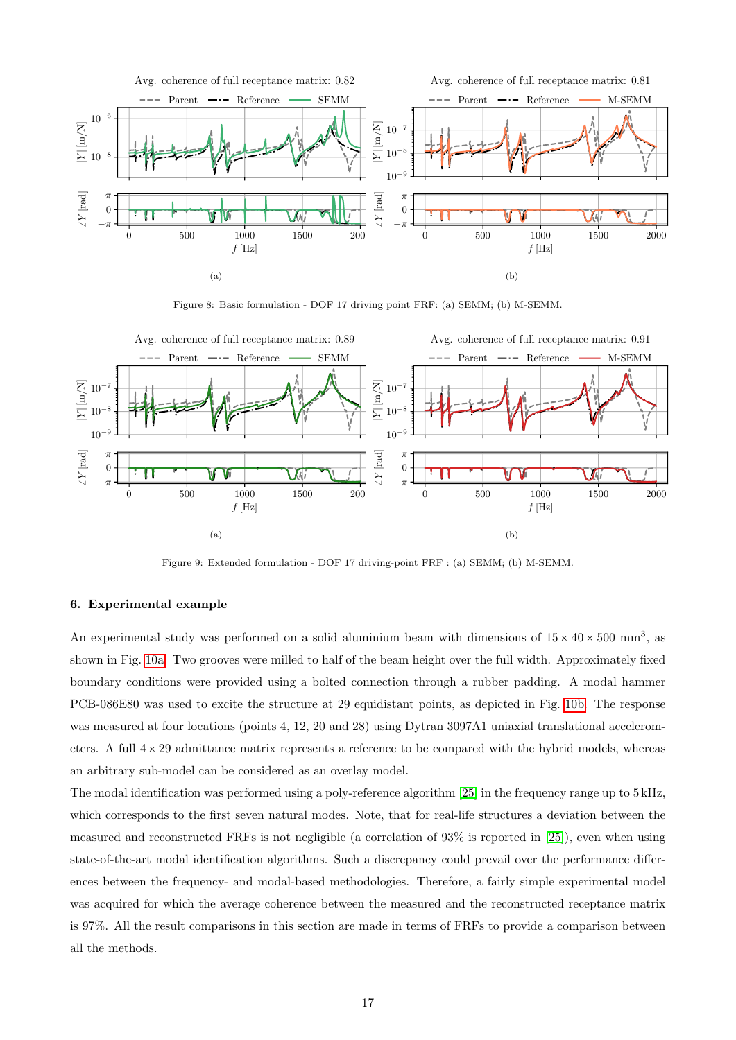<span id="page-16-1"></span>

Figure 8: Basic formulation - DOF 17 driving point FRF: (a) SEMM; (b) M-SEMM.

<span id="page-16-2"></span>

Figure 9: Extended formulation - DOF 17 driving-point FRF : (a) SEMM; (b) M-SEMM.

# <span id="page-16-0"></span>6. Experimental example

An experimental study was performed on a solid aluminium beam with dimensions of  $15 \times 40 \times 500$  mm<sup>3</sup>, as shown in Fig. [10a.](#page-17-0) Two grooves were milled to half of the beam height over the full width. Approximately fixed boundary conditions were provided using a bolted connection through a rubber padding. A modal hammer PCB-086E80 was used to excite the structure at 29 equidistant points, as depicted in Fig. [10b.](#page-17-0) The response was measured at four locations (points 4, 12, 20 and 28) using Dytran 3097A1 uniaxial translational accelerometers. A full  $4 \times 29$  admittance matrix represents a reference to be compared with the hybrid models, whereas an arbitrary sub-model can be considered as an overlay model.

The modal identification was performed using a poly-reference algorithm [\[25\]](#page-24-9) in the frequency range up to 5 kHz, which corresponds to the first seven natural modes. Note, that for real-life structures a deviation between the measured and reconstructed FRFs is not negligible (a correlation of 93% is reported in [\[25\]](#page-24-9)), even when using state-of-the-art modal identification algorithms. Such a discrepancy could prevail over the performance differences between the frequency- and modal-based methodologies. Therefore, a fairly simple experimental model was acquired for which the average coherence between the measured and the reconstructed receptance matrix is 97%. All the result comparisons in this section are made in terms of FRFs to provide a comparison between all the methods.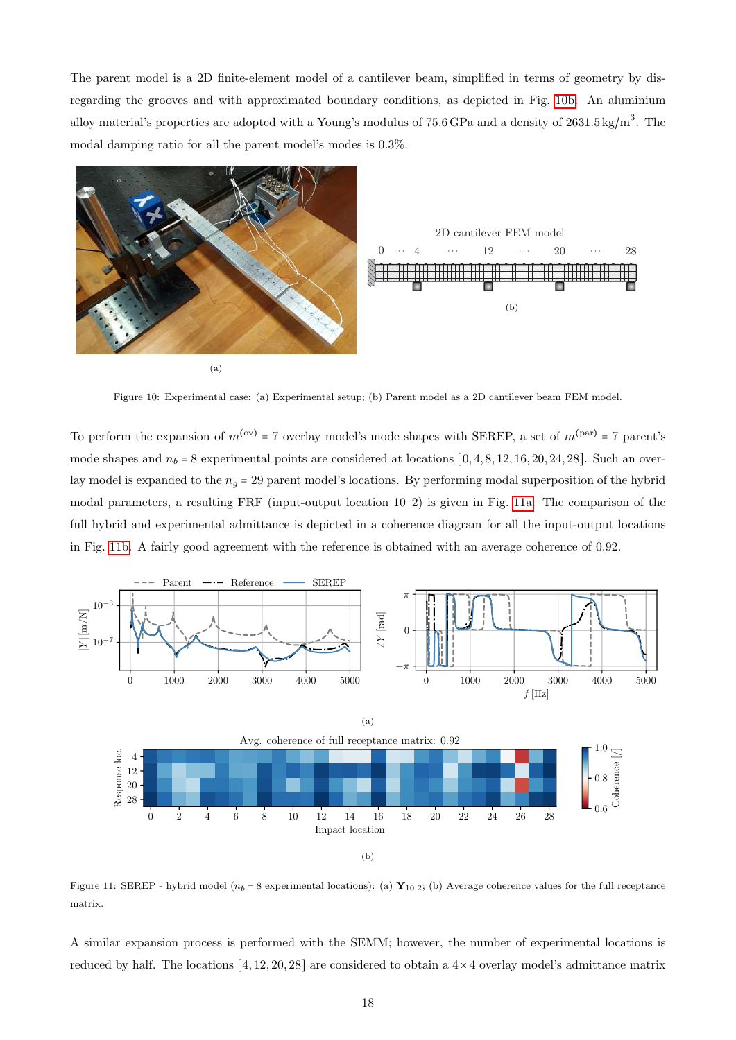The parent model is a 2D finite-element model of a cantilever beam, simplified in terms of geometry by disregarding the grooves and with approximated boundary conditions, as depicted in Fig. [10b.](#page-17-0) An aluminium alloy material's properties are adopted with a Young's modulus of 75.6 GPa and a density of  $2631.5 \text{ kg/m}^3$ . The modal damping ratio for all the parent model's modes is 0.3%.

<span id="page-17-0"></span>

Figure 10: Experimental case: (a) Experimental setup; (b) Parent model as a 2D cantilever beam FEM model.

To perform the expansion of  $m^{(ov)} = 7$  overlay model's mode shapes with SEREP, a set of  $m^{(par)} = 7$  parent's mode shapes and  $n_b = 8$  experimental points are considered at locations  $[0, 4, 8, 12, 16, 20, 24, 28]$ . Such an overlay model is expanded to the  $n_q = 29$  parent model's locations. By performing modal superposition of the hybrid modal parameters, a resulting FRF (input-output location 10–2) is given in Fig. [11a.](#page-17-1) The comparison of the full hybrid and experimental admittance is depicted in a coherence diagram for all the input-output locations in Fig. [11b.](#page-17-1) A fairly good agreement with the reference is obtained with an average coherence of 0.92.

<span id="page-17-1"></span>

Figure 11: SEREP - hybrid model ( $n_b$  = 8 experimental locations): (a)  $\mathbf{Y}_{10,2}$ ; (b) Average coherence values for the full receptance matrix.

A similar expansion process is performed with the SEMM; however, the number of experimental locations is reduced by half. The locations  $[4, 12, 20, 28]$  are considered to obtain a  $4 \times 4$  overlay model's admittance matrix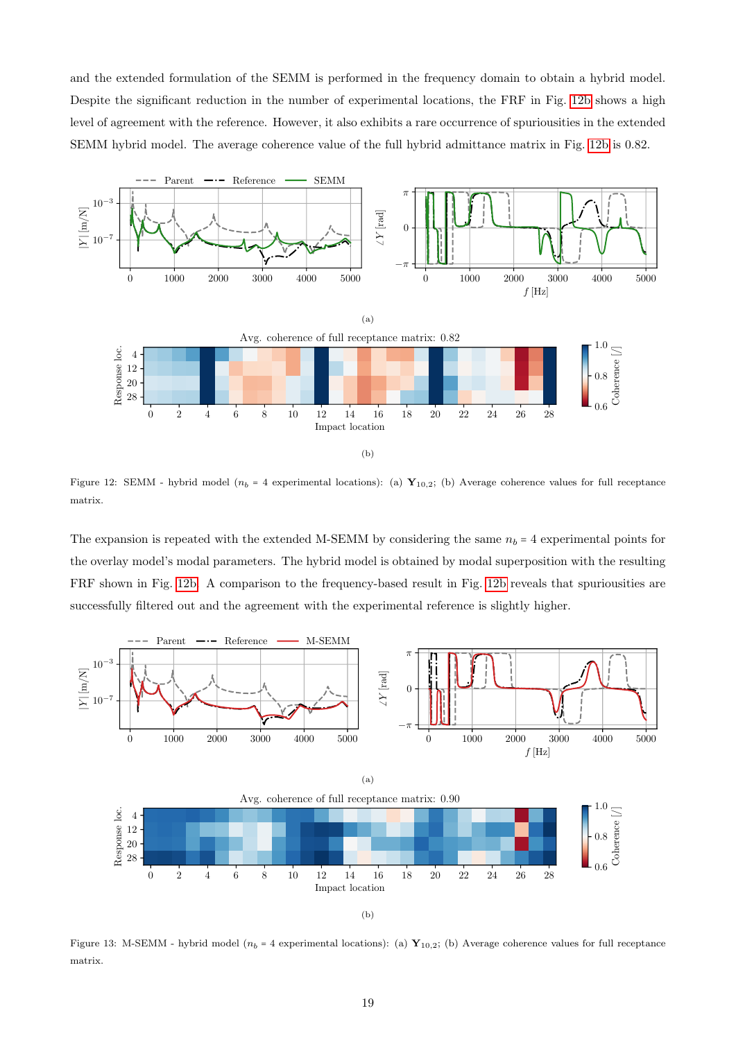and the extended formulation of the SEMM is performed in the frequency domain to obtain a hybrid model. Despite the significant reduction in the number of experimental locations, the FRF in Fig. [12b](#page-18-0) shows a high level of agreement with the reference. However, it also exhibits a rare occurrence of spuriousities in the extended SEMM hybrid model. The average coherence value of the full hybrid admittance matrix in Fig. [12b](#page-18-0) is 0.82.

<span id="page-18-0"></span>

Figure 12: SEMM - hybrid model ( $n_b = 4$  experimental locations): (a)  $\mathbf{Y}_{10,2}$ ; (b) Average coherence values for full receptance matrix.

The expansion is repeated with the extended M-SEMM by considering the same  $n_b = 4$  experimental points for the overlay model's modal parameters. The hybrid model is obtained by modal superposition with the resulting FRF shown in Fig. [12b.](#page-18-0) A comparison to the frequency-based result in Fig. [12b](#page-18-0) reveals that spuriousities are successfully filtered out and the agreement with the experimental reference is slightly higher.

<span id="page-18-1"></span>

(b)

Figure 13: M-SEMM - hybrid model ( $n_b = 4$  experimental locations): (a)  $\mathbf{Y}_{10,2}$ ; (b) Average coherence values for full receptance matrix.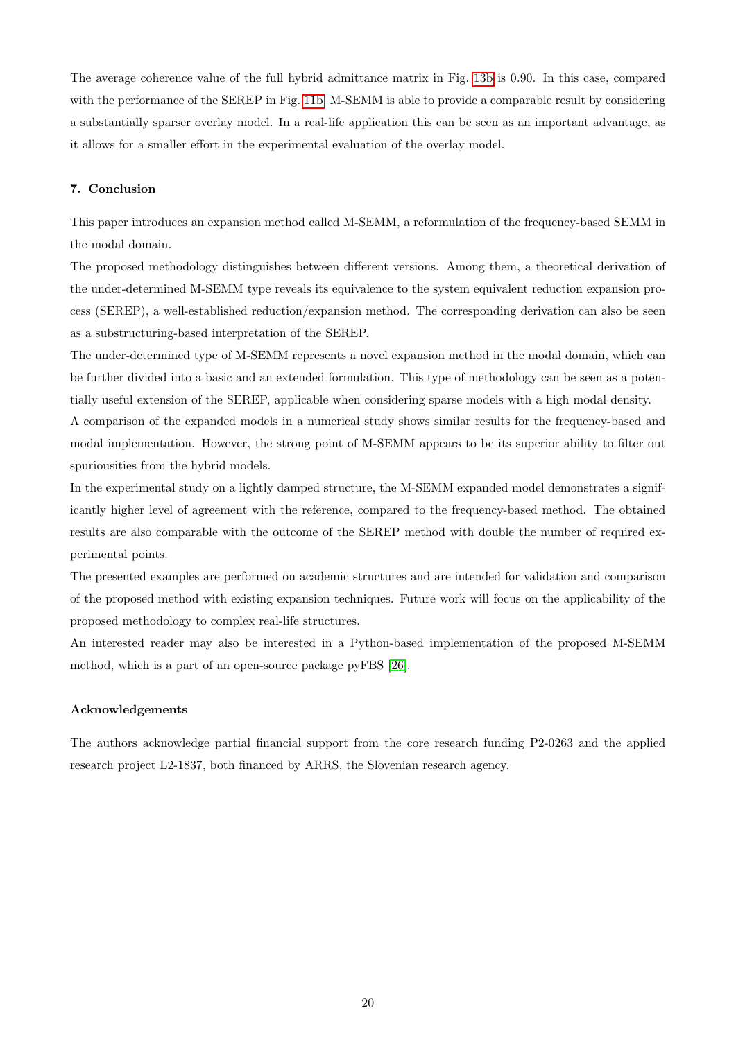The average coherence value of the full hybrid admittance matrix in Fig. [13b](#page-18-1) is 0.90. In this case, compared with the performance of the SEREP in Fig. [11b,](#page-17-1) M-SEMM is able to provide a comparable result by considering a substantially sparser overlay model. In a real-life application this can be seen as an important advantage, as it allows for a smaller effort in the experimental evaluation of the overlay model.

## <span id="page-19-0"></span>7. Conclusion

This paper introduces an expansion method called M-SEMM, a reformulation of the frequency-based SEMM in the modal domain.

The proposed methodology distinguishes between different versions. Among them, a theoretical derivation of the under-determined M-SEMM type reveals its equivalence to the system equivalent reduction expansion process (SEREP), a well-established reduction/expansion method. The corresponding derivation can also be seen as a substructuring-based interpretation of the SEREP.

The under-determined type of M-SEMM represents a novel expansion method in the modal domain, which can be further divided into a basic and an extended formulation. This type of methodology can be seen as a potentially useful extension of the SEREP, applicable when considering sparse models with a high modal density.

A comparison of the expanded models in a numerical study shows similar results for the frequency-based and modal implementation. However, the strong point of M-SEMM appears to be its superior ability to filter out spuriousities from the hybrid models.

In the experimental study on a lightly damped structure, the M-SEMM expanded model demonstrates a significantly higher level of agreement with the reference, compared to the frequency-based method. The obtained results are also comparable with the outcome of the SEREP method with double the number of required experimental points.

The presented examples are performed on academic structures and are intended for validation and comparison of the proposed method with existing expansion techniques. Future work will focus on the applicability of the proposed methodology to complex real-life structures.

An interested reader may also be interested in a Python-based implementation of the proposed M-SEMM method, which is a part of an open-source package pyFBS [\[26\]](#page-24-10).

# Acknowledgements

The authors acknowledge partial financial support from the core research funding P2-0263 and the applied research project L2-1837, both financed by ARRS, the Slovenian research agency.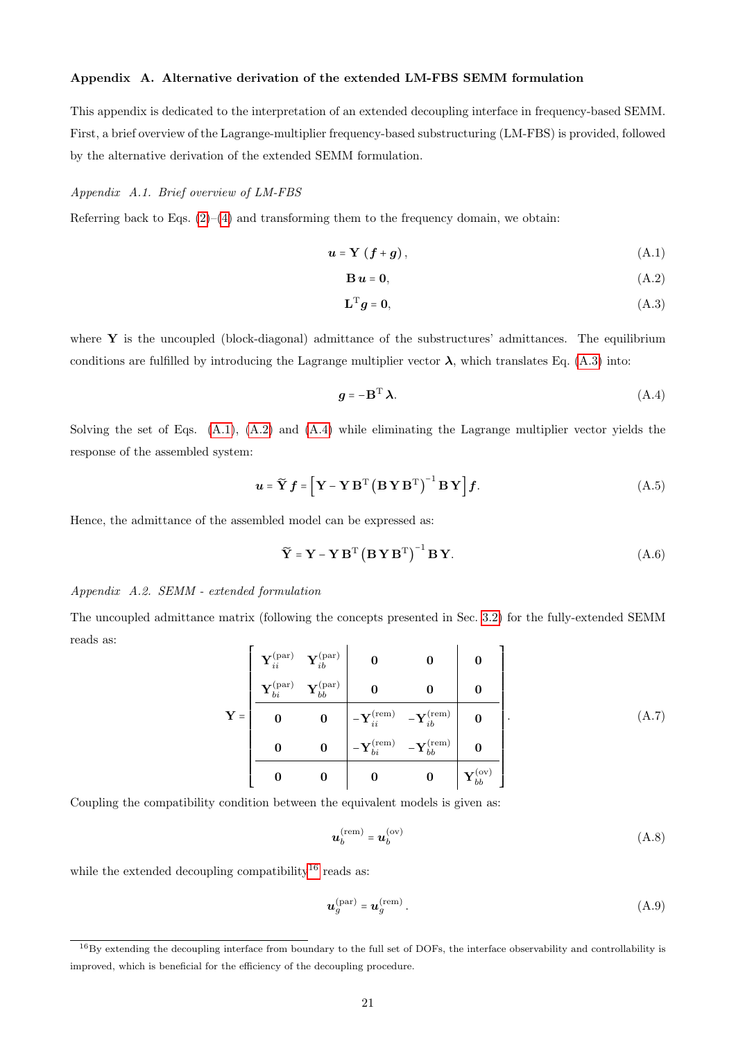# Appendix A. Alternative derivation of the extended LM-FBS SEMM formulation

This appendix is dedicated to the interpretation of an extended decoupling interface in frequency-based SEMM. First, a brief overview of the Lagrange-multiplier frequency-based substructuring (LM-FBS) is provided, followed by the alternative derivation of the extended SEMM formulation.

### Appendix A.1. Brief overview of LM-FBS

Referring back to Eqs.  $(2)-(4)$  $(2)-(4)$  $(2)-(4)$  and transforming them to the frequency domain, we obtain:

$$
u = Y(f + g), \tag{A.1}
$$

<span id="page-20-2"></span><span id="page-20-1"></span>
$$
\mathbf{B}\,\mathbf{u} = \mathbf{0},\tag{A.2}
$$

<span id="page-20-3"></span><span id="page-20-0"></span>
$$
\mathbf{L}^{\mathrm{T}}\mathbf{g} = \mathbf{0},\tag{A.3}
$$

where  $\bf{Y}$  is the uncoupled (block-diagonal) admittance of the substructures' admittances. The equilibrium conditions are fulfilled by introducing the Lagrange multiplier vector  $\lambda$ , which translates Eq. [\(A.3\)](#page-20-0) into:

<span id="page-20-5"></span>
$$
g = -\mathbf{B}^{\mathrm{T}} \,\boldsymbol{\lambda}.\tag{A.4}
$$

Solving the set of Eqs. [\(A.1\)](#page-20-1), [\(A.2\)](#page-20-2) and [\(A.4\)](#page-20-3) while eliminating the Lagrange multiplier vector yields the response of the assembled system:

$$
\mathbf{u} = \widetilde{\mathbf{Y}} \mathbf{f} = \left[ \mathbf{Y} - \mathbf{Y} \mathbf{B}^{\mathrm{T}} \left( \mathbf{B} \mathbf{Y} \mathbf{B}^{\mathrm{T}} \right)^{-1} \mathbf{B} \mathbf{Y} \right] \mathbf{f}.
$$
 (A.5)

Hence, the admittance of the assembled model can be expressed as:

$$
\widetilde{\mathbf{Y}} = \mathbf{Y} - \mathbf{Y} \mathbf{B}^{\mathrm{T}} \left( \mathbf{B} \mathbf{Y} \mathbf{B}^{\mathrm{T}} \right)^{-1} \mathbf{B} \mathbf{Y}.
$$
\n(A.6)

# Appendix A.2. SEMM - extended formulation

<span id="page-20-6"></span>The uncoupled admittance matrix (following the concepts presented in Sec. [3.2\)](#page-4-4) for the fully-extended SEMM reads as:

$$
\mathbf{Y} = \begin{bmatrix} \mathbf{Y}_{ii}^{(\text{par})} & \mathbf{Y}_{ib}^{(\text{par})} & \mathbf{0} & \mathbf{0} & \mathbf{0} \\ \frac{\mathbf{Y}_{bi}^{(\text{par})}}{\mathbf{0}} & \mathbf{Y}_{bb}^{(\text{par})} & \mathbf{0} & \mathbf{0} & \mathbf{0} \\ \hline \mathbf{0} & \mathbf{0} & -\mathbf{Y}_{ii}^{(\text{rem})} & -\mathbf{Y}_{ib}^{(\text{rem})} & \mathbf{0} \\ \hline \mathbf{0} & \mathbf{0} & -\mathbf{Y}_{bi}^{(\text{rem})} & -\mathbf{Y}_{bb}^{(\text{rem})} & \mathbf{0} \\ \hline \mathbf{0} & \mathbf{0} & \mathbf{0} & \mathbf{0} & \mathbf{Y}_{bb}^{(\text{ov})} \end{bmatrix} . \tag{A.7}
$$

Coupling the compatibility condition between the equivalent models is given as:

$$
\boldsymbol{u}_b^{(\text{rem})} = \boldsymbol{u}_b^{(\text{ov})} \tag{A.8}
$$

while the extended decoupling compatibility<sup>[16](#page-20-4)</sup> reads as:

$$
\boldsymbol{u}_g^{\text{(par)}} = \boldsymbol{u}_g^{\text{(rem)}}\,. \tag{A.9}
$$

<span id="page-20-4"></span><sup>&</sup>lt;sup>16</sup>By extending the decoupling interface from boundary to the full set of DOFs, the interface observability and controllability is improved, which is beneficial for the efficiency of the decoupling procedure.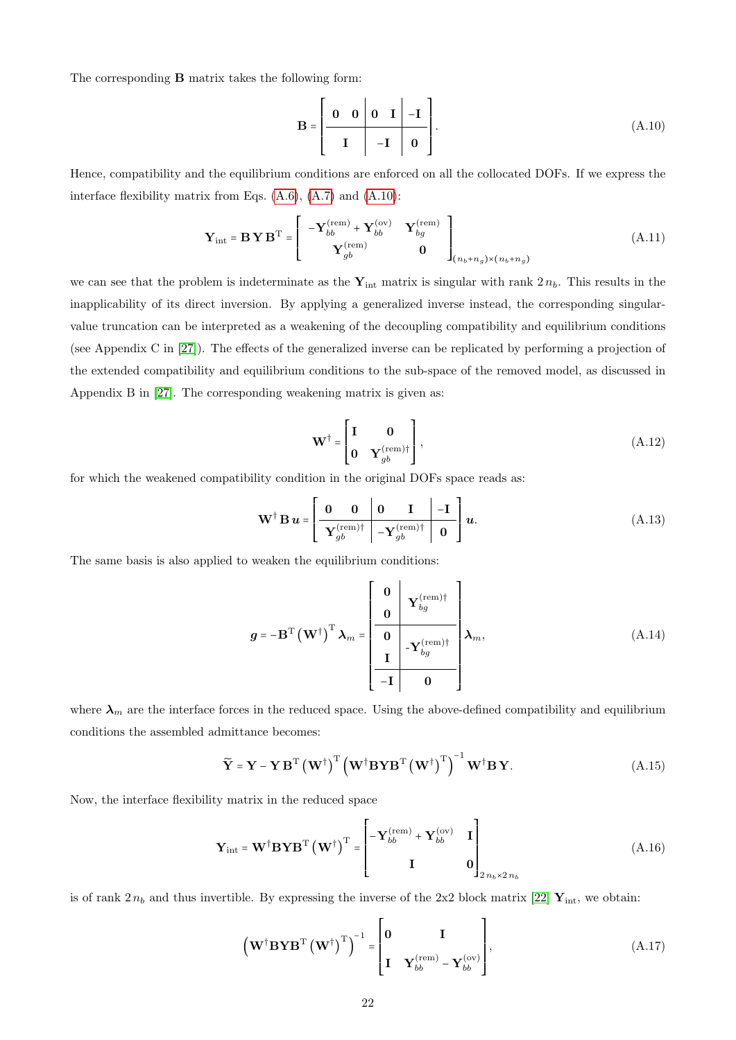The corresponding B matrix takes the following form:

<span id="page-21-0"></span>
$$
\mathbf{B} = \left[ \begin{array}{c|c|c} \mathbf{0} & \mathbf{0} & \mathbf{0} & \mathbf{I} & -\mathbf{I} \\ \hline & \mathbf{I} & -\mathbf{I} & \mathbf{0} \end{array} \right]. \tag{A.10}
$$

Hence, compatibility and the equilibrium conditions are enforced on all the collocated DOFs. If we express the interface flexibility matrix from Eqs. [\(A.6\)](#page-20-5), [\(A.7\)](#page-20-6) and [\(A.10\)](#page-21-0):

$$
\mathbf{Y}_{\text{int}} = \mathbf{B} \mathbf{Y} \mathbf{B}^{\text{T}} = \begin{bmatrix} -\mathbf{Y}_{bb}^{(\text{rem})} + \mathbf{Y}_{bb}^{(\text{ov})} & \mathbf{Y}_{bg}^{(\text{rem})} \\ \mathbf{Y}_{gb}^{(\text{rem})} & \mathbf{0} \end{bmatrix}_{(n_b + n_g) \times (n_b + n_g)} \tag{A.11}
$$

we can see that the problem is indeterminate as the  $Y_{int}$  matrix is singular with rank  $2 n_b$ . This results in the inapplicability of its direct inversion. By applying a generalized inverse instead, the corresponding singularvalue truncation can be interpreted as a weakening of the decoupling compatibility and equilibrium conditions (see Appendix C in [\[27\]](#page-24-11)). The effects of the generalized inverse can be replicated by performing a projection of the extended compatibility and equilibrium conditions to the sub-space of the removed model, as discussed in Appendix B in [\[27\]](#page-24-11). The corresponding weakening matrix is given as:

$$
\mathbf{W}^{\dagger} = \begin{bmatrix} \mathbf{I} & \mathbf{0} \\ \mathbf{0} & \mathbf{Y}_{gb}^{(\text{rem})\dagger} \end{bmatrix},\tag{A.12}
$$

for which the weakened compatibility condition in the original DOFs space reads as:

$$
\mathbf{W}^{\dagger} \mathbf{B} \mathbf{u} = \left[ \begin{array}{c|c} \mathbf{0} & \mathbf{0} & \mathbf{I} & -\mathbf{I} \\ \hline \mathbf{Y}_{gb}^{(\text{rem})\dagger} & -\mathbf{Y}_{gb}^{(\text{rem})\dagger} & \mathbf{0} \end{array} \right] \mathbf{u}.
$$
 (A.13)

The same basis is also applied to weaken the equilibrium conditions:

$$
g = -\mathbf{B}^{\mathrm{T}} \left(\mathbf{W}^{\dagger}\right)^{\mathrm{T}} \lambda_{m} = \begin{bmatrix} 0 & \mathbf{Y}_{bg}^{\text{(rem)}\dagger} \\ 0 & -\mathbf{Y}_{bg}^{\text{(rem)}\dagger} \\ \hline \mathbf{I} & \mathbf{0} \end{bmatrix} \lambda_{m}, \tag{A.14}
$$

where  $\lambda_m$  are the interface forces in the reduced space. Using the above-defined compatibility and equilibrium conditions the assembled admittance becomes:

<span id="page-21-1"></span>
$$
\widetilde{\mathbf{Y}} = \mathbf{Y} - \mathbf{Y} \mathbf{B}^{\mathrm{T}} \left( \mathbf{W}^{\dagger} \right)^{\mathrm{T}} \left( \mathbf{W}^{\dagger} \mathbf{B} \mathbf{Y} \mathbf{B}^{\mathrm{T}} \left( \mathbf{W}^{\dagger} \right)^{\mathrm{T}} \right)^{-1} \mathbf{W}^{\dagger} \mathbf{B} \mathbf{Y}.
$$
 (A.15)

Now, the interface flexibility matrix in the reduced space

$$
\mathbf{Y}_{\text{int}} = \mathbf{W}^{\dagger} \mathbf{B} \mathbf{Y} \mathbf{B}^{\text{T}} \left( \mathbf{W}^{\dagger} \right)^{\text{T}} = \begin{bmatrix} -\mathbf{Y}_{bb}^{(\text{rem})} + \mathbf{Y}_{bb}^{(\text{ov})} & \mathbf{I} \\ \mathbf{I} & \mathbf{0} \end{bmatrix}_{2 n_b \times 2 n_b}
$$
(A.16)

is of rank  $2 n_b$  and thus invertible. By expressing the inverse of the 2x2 block matrix [\[22\]](#page-24-6)  $\mathbf{Y}_{\text{int}}$ , we obtain:

$$
\left(\mathbf{W}^{\dagger} \mathbf{B} \mathbf{Y} \mathbf{B}^{\mathrm{T}} \left(\mathbf{W}^{\dagger}\right)^{\mathrm{T}}\right)^{-1} = \begin{bmatrix} \mathbf{0} & \mathbf{I} \\ \mathbf{I} & \mathbf{Y}_{bb}^{(\mathrm{rem})} - \mathbf{Y}_{bb}^{(\mathrm{ov})} \end{bmatrix},\tag{A.17}
$$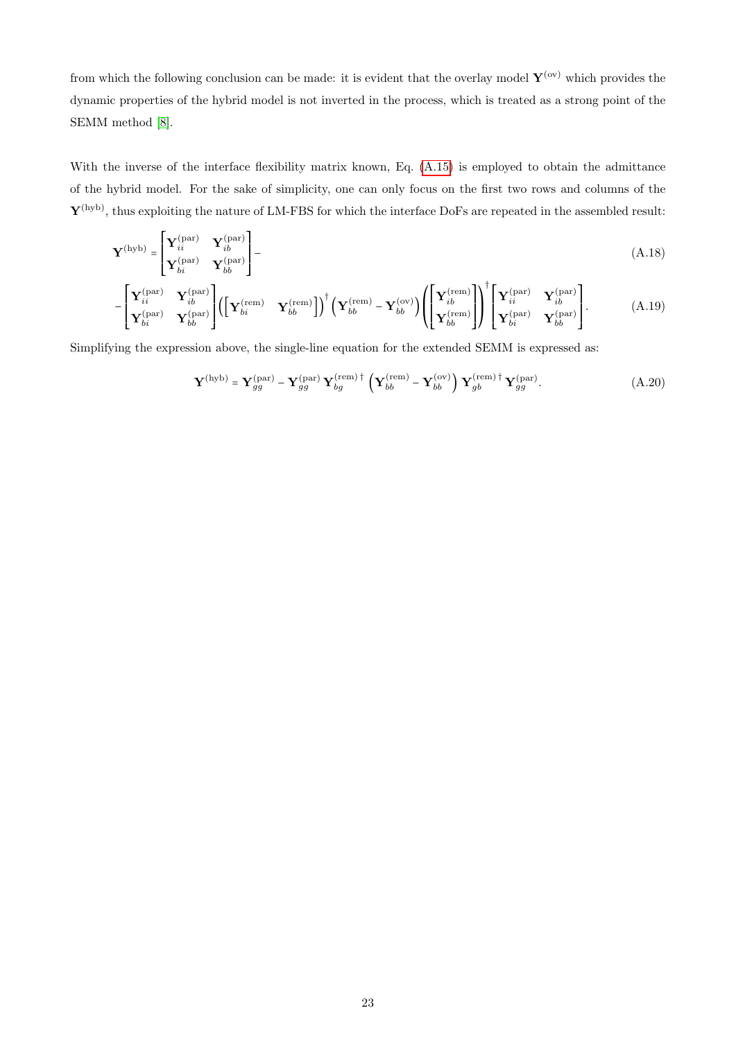from which the following conclusion can be made: it is evident that the overlay model  $\mathbf{Y}^{(ov)}$  which provides the dynamic properties of the hybrid model is not inverted in the process, which is treated as a strong point of the SEMM method [\[8\]](#page-23-4).

With the inverse of the interface flexibility matrix known, Eq. [\(A.15\)](#page-21-1) is employed to obtain the admittance of the hybrid model. For the sake of simplicity, one can only focus on the first two rows and columns of the  $\mathbf{Y}^{(\text{hyb})}$ , thus exploiting the nature of LM-FBS for which the interface DoFs are repeated in the assembled result:

$$
\mathbf{Y}^{\text{(hyb)}} = \begin{bmatrix} \mathbf{Y}_{ii}^{\text{(par)}} & \mathbf{Y}_{ib}^{\text{(par)}} \\ \mathbf{Y}_{bi}^{\text{(par)}} & \mathbf{Y}_{bb}^{\text{(par)}} \end{bmatrix} - (A.18)
$$

$$
-\begin{bmatrix} \mathbf{Y}_{ii}^{(\text{par})} & \mathbf{Y}_{ib}^{(\text{par})} \\ \mathbf{Y}_{bi}^{(\text{par})} & \mathbf{Y}_{bb}^{(\text{pen})} \end{bmatrix} \left( \begin{bmatrix} \mathbf{Y}_{bi}^{(\text{rem})} & \mathbf{Y}_{bb}^{(\text{rem})} \end{bmatrix} \right)^{\dagger} \left( \mathbf{Y}_{bb}^{(\text{rem})} - \mathbf{Y}_{bb}^{(\text{ov})} \right) \left( \begin{bmatrix} \mathbf{Y}_{ib}^{(\text{rem})} \\ \mathbf{Y}_{ib}^{(\text{rem})} \end{bmatrix} \right)^{\dagger} \begin{bmatrix} \mathbf{Y}_{ii}^{(\text{par})} & \mathbf{Y}_{ib}^{(\text{par})} \\ \mathbf{Y}_{bi}^{(\text{par})} & \mathbf{Y}_{bb}^{(\text{par})} \end{bmatrix} . \tag{A.19}
$$

Simplifying the expression above, the single-line equation for the extended SEMM is expressed as:

$$
\mathbf{Y}^{\text{(hyb)}} = \mathbf{Y}_{gg}^{\text{(par)}} - \mathbf{Y}_{gg}^{\text{(par)}} \mathbf{Y}_{bg}^{\text{(rem)}}^{\text{(rem)}} + \left( \mathbf{Y}_{bb}^{\text{(rem)}} - \mathbf{Y}_{bb}^{\text{(ov)}} \right) \mathbf{Y}_{gb}^{\text{(rem)}}^{\text{(ram)}} + \mathbf{Y}_{gg}^{\text{(par)}}. \tag{A.20}
$$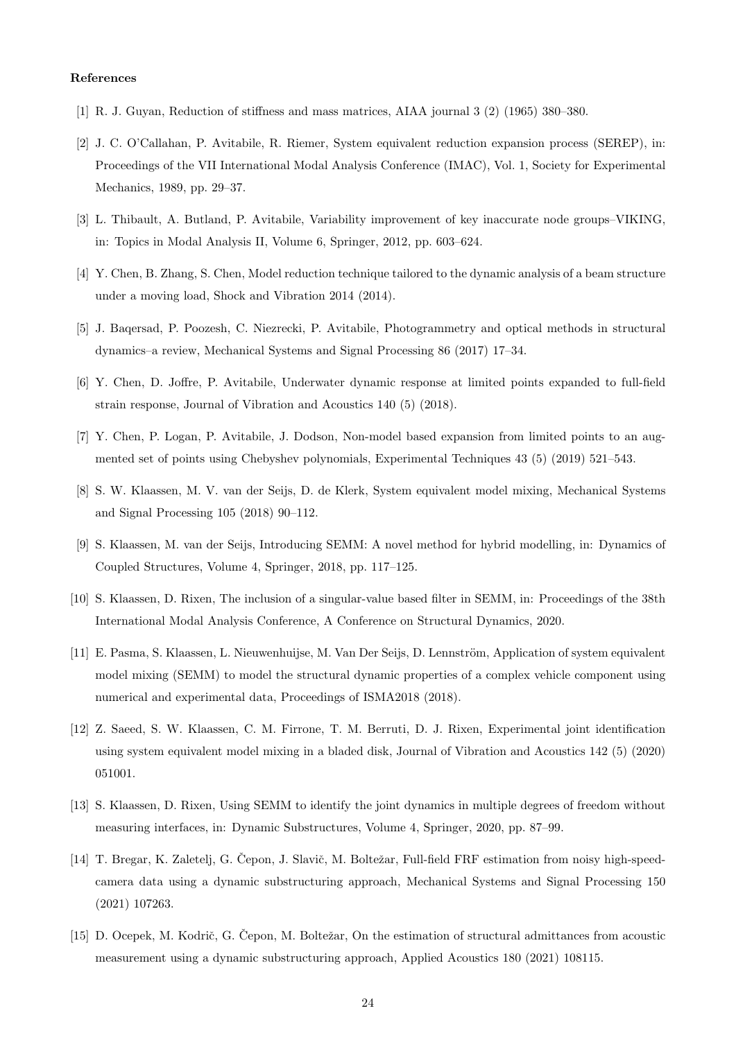#### References

- <span id="page-23-0"></span>[1] R. J. Guyan, Reduction of stiffness and mass matrices, AIAA journal 3 (2) (1965) 380–380.
- <span id="page-23-1"></span>[2] J. C. O'Callahan, P. Avitabile, R. Riemer, System equivalent reduction expansion process (SEREP), in: Proceedings of the VII International Modal Analysis Conference (IMAC), Vol. 1, Society for Experimental Mechanics, 1989, pp. 29–37.
- <span id="page-23-2"></span>[3] L. Thibault, A. Butland, P. Avitabile, Variability improvement of key inaccurate node groups–VIKING, in: Topics in Modal Analysis II, Volume 6, Springer, 2012, pp. 603–624.
- [4] Y. Chen, B. Zhang, S. Chen, Model reduction technique tailored to the dynamic analysis of a beam structure under a moving load, Shock and Vibration 2014 (2014).
- [5] J. Baqersad, P. Poozesh, C. Niezrecki, P. Avitabile, Photogrammetry and optical methods in structural dynamics–a review, Mechanical Systems and Signal Processing 86 (2017) 17–34.
- [6] Y. Chen, D. Joffre, P. Avitabile, Underwater dynamic response at limited points expanded to full-field strain response, Journal of Vibration and Acoustics 140 (5) (2018).
- <span id="page-23-3"></span>[7] Y. Chen, P. Logan, P. Avitabile, J. Dodson, Non-model based expansion from limited points to an augmented set of points using Chebyshev polynomials, Experimental Techniques 43 (5) (2019) 521–543.
- <span id="page-23-4"></span>[8] S. W. Klaassen, M. V. van der Seijs, D. de Klerk, System equivalent model mixing, Mechanical Systems and Signal Processing 105 (2018) 90–112.
- <span id="page-23-5"></span>[9] S. Klaassen, M. van der Seijs, Introducing SEMM: A novel method for hybrid modelling, in: Dynamics of Coupled Structures, Volume 4, Springer, 2018, pp. 117–125.
- <span id="page-23-6"></span>[10] S. Klaassen, D. Rixen, The inclusion of a singular-value based filter in SEMM, in: Proceedings of the 38th International Modal Analysis Conference, A Conference on Structural Dynamics, 2020.
- <span id="page-23-7"></span>[11] E. Pasma, S. Klaassen, L. Nieuwenhuijse, M. Van Der Seijs, D. Lennström, Application of system equivalent model mixing (SEMM) to model the structural dynamic properties of a complex vehicle component using numerical and experimental data, Proceedings of ISMA2018 (2018).
- <span id="page-23-8"></span>[12] Z. Saeed, S. W. Klaassen, C. M. Firrone, T. M. Berruti, D. J. Rixen, Experimental joint identification using system equivalent model mixing in a bladed disk, Journal of Vibration and Acoustics 142 (5) (2020) 051001.
- <span id="page-23-9"></span>[13] S. Klaassen, D. Rixen, Using SEMM to identify the joint dynamics in multiple degrees of freedom without measuring interfaces, in: Dynamic Substructures, Volume 4, Springer, 2020, pp. 87–99.
- <span id="page-23-10"></span>[14] T. Bregar, K. Zaletelj, G. Čepon, J. Slavič, M. Boltežar, Full-field FRF estimation from noisy high-speedcamera data using a dynamic substructuring approach, Mechanical Systems and Signal Processing 150 (2021) 107263.
- <span id="page-23-11"></span>[15] D. Ocepek, M. Kodrič, G. Čepon, M. Boltežar, On the estimation of structural admittances from acoustic measurement using a dynamic substructuring approach, Applied Acoustics 180 (2021) 108115.